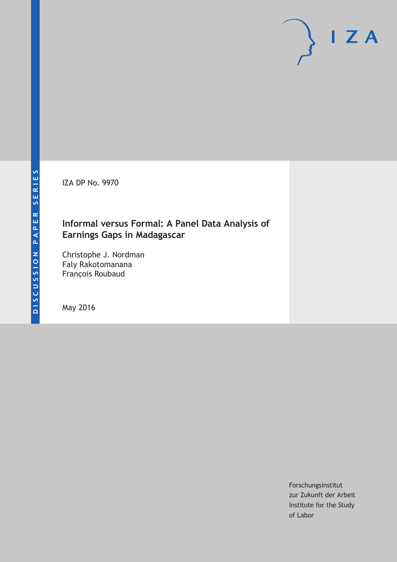IZA DP No. 9970

## **Informal versus Formal: A Panel Data Analysis of Earnings Gaps in Madagascar**

Christophe J. Nordman Faly Rakotomanana François Roubaud

May 2016

Forschungsinstitut zur Zukunft der Arbeit Institute for the Study of Labor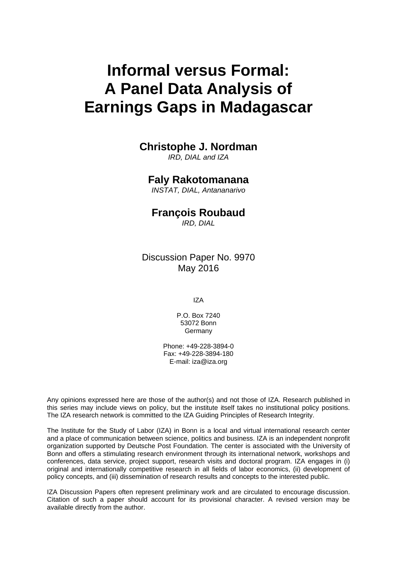# **Informal versus Formal: A Panel Data Analysis of Earnings Gaps in Madagascar**

## **Christophe J. Nordman**

*IRD, DIAL and IZA* 

### **Faly Rakotomanana**

*INSTAT, DIAL, Antananarivo* 

## **François Roubaud**

*IRD, DIAL*

Discussion Paper No. 9970 May 2016

IZA

P.O. Box 7240 53072 Bonn Germany

Phone: +49-228-3894-0 Fax: +49-228-3894-180 E-mail: iza@iza.org

Any opinions expressed here are those of the author(s) and not those of IZA. Research published in this series may include views on policy, but the institute itself takes no institutional policy positions. The IZA research network is committed to the IZA Guiding Principles of Research Integrity.

The Institute for the Study of Labor (IZA) in Bonn is a local and virtual international research center and a place of communication between science, politics and business. IZA is an independent nonprofit organization supported by Deutsche Post Foundation. The center is associated with the University of Bonn and offers a stimulating research environment through its international network, workshops and conferences, data service, project support, research visits and doctoral program. IZA engages in (i) original and internationally competitive research in all fields of labor economics, (ii) development of policy concepts, and (iii) dissemination of research results and concepts to the interested public.

IZA Discussion Papers often represent preliminary work and are circulated to encourage discussion. Citation of such a paper should account for its provisional character. A revised version may be available directly from the author.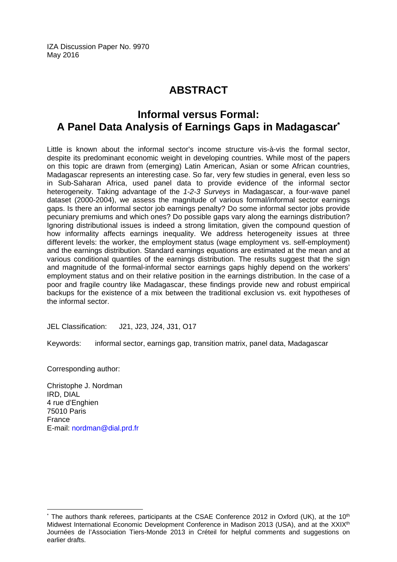IZA Discussion Paper No. 9970 May 2016

## **ABSTRACT**

## **Informal versus Formal: A Panel Data Analysis of Earnings Gaps in Madagascar\***

Little is known about the informal sector's income structure vis-à-vis the formal sector, despite its predominant economic weight in developing countries. While most of the papers on this topic are drawn from (emerging) Latin American, Asian or some African countries, Madagascar represents an interesting case. So far, very few studies in general, even less so in Sub-Saharan Africa, used panel data to provide evidence of the informal sector heterogeneity. Taking advantage of the *1-2-3 Surveys* in Madagascar, a four-wave panel dataset (2000-2004), we assess the magnitude of various formal/informal sector earnings gaps. Is there an informal sector job earnings penalty? Do some informal sector jobs provide pecuniary premiums and which ones? Do possible gaps vary along the earnings distribution? Ignoring distributional issues is indeed a strong limitation, given the compound question of how informality affects earnings inequality. We address heterogeneity issues at three different levels: the worker, the employment status (wage employment vs. self-employment) and the earnings distribution. Standard earnings equations are estimated at the mean and at various conditional quantiles of the earnings distribution. The results suggest that the sign and magnitude of the formal-informal sector earnings gaps highly depend on the workers' employment status and on their relative position in the earnings distribution. In the case of a poor and fragile country like Madagascar, these findings provide new and robust empirical backups for the existence of a mix between the traditional exclusion vs. exit hypotheses of the informal sector.

JEL Classification: J21, J23, J24, J31, O17

Keywords: informal sector, earnings gap, transition matrix, panel data, Madagascar

Corresponding author:

Christophe J. Nordman IRD, DIAL 4 rue d'Enghien 75010 Paris France E-mail: nordman@dial.prd.fr

 $\overline{\phantom{a}}$ 

<sup>\*</sup> The authors thank referees, participants at the CSAE Conference 2012 in Oxford (UK), at the 10<sup>th</sup> Midwest International Economic Development Conference in Madison 2013 (USA), and at the XXIX<sup>th</sup> Journées de l'Association Tiers-Monde 2013 in Créteil for helpful comments and suggestions on earlier drafts.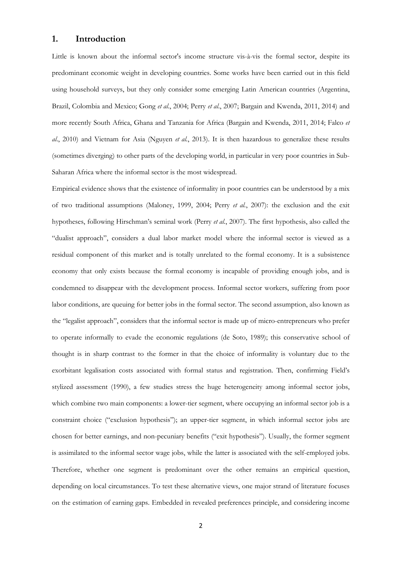#### **1. Introduction**

Little is known about the informal sector's income structure vis-à-vis the formal sector, despite its predominant economic weight in developing countries. Some works have been carried out in this field using household surveys, but they only consider some emerging Latin American countries (Argentina, Brazil, Colombia and Mexico; Gong *et al*., 2004; Perry *et al*., 2007; Bargain and Kwenda, 2011, 2014) and more recently South Africa, Ghana and Tanzania for Africa (Bargain and Kwenda, 2011, 2014; Falco *et al*., 2010) and Vietnam for Asia (Nguyen *et al.*, 2013). It is then hazardous to generalize these results (sometimes diverging) to other parts of the developing world, in particular in very poor countries in Sub-Saharan Africa where the informal sector is the most widespread.

Empirical evidence shows that the existence of informality in poor countries can be understood by a mix of two traditional assumptions (Maloney, 1999, 2004; Perry *et al.*, 2007): the exclusion and the exit hypotheses, following Hirschman's seminal work (Perry *et al.*, 2007). The first hypothesis, also called the "dualist approach", considers a dual labor market model where the informal sector is viewed as a residual component of this market and is totally unrelated to the formal economy. It is a subsistence economy that only exists because the formal economy is incapable of providing enough jobs, and is condemned to disappear with the development process. Informal sector workers, suffering from poor labor conditions, are queuing for better jobs in the formal sector. The second assumption, also known as the "legalist approach", considers that the informal sector is made up of micro-entrepreneurs who prefer to operate informally to evade the economic regulations (de Soto, 1989); this conservative school of thought is in sharp contrast to the former in that the choice of informality is voluntary due to the exorbitant legalisation costs associated with formal status and registration. Then, confirming Field's stylized assessment (1990), a few studies stress the huge heterogeneity among informal sector jobs, which combine two main components: a lower-tier segment, where occupying an informal sector job is a constraint choice ("exclusion hypothesis"); an upper-tier segment, in which informal sector jobs are chosen for better earnings, and non-pecuniary benefits ("exit hypothesis"). Usually, the former segment is assimilated to the informal sector wage jobs, while the latter is associated with the self-employed jobs. Therefore, whether one segment is predominant over the other remains an empirical question, depending on local circumstances. To test these alternative views, one major strand of literature focuses on the estimation of earning gaps. Embedded in revealed preferences principle, and considering income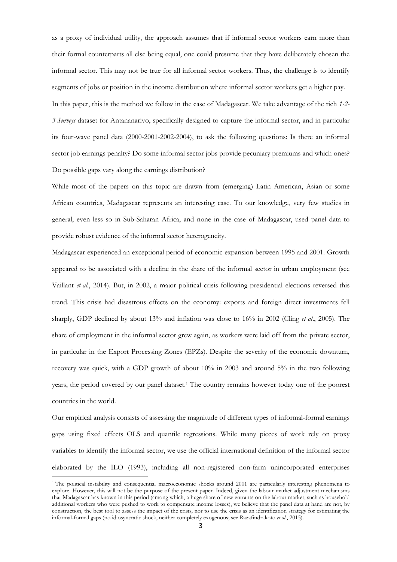as a proxy of individual utility, the approach assumes that if informal sector workers earn more than their formal counterparts all else being equal, one could presume that they have deliberately chosen the informal sector. This may not be true for all informal sector workers. Thus, the challenge is to identify segments of jobs or position in the income distribution where informal sector workers get a higher pay.

In this paper, this is the method we follow in the case of Madagascar. We take advantage of the rich *1-2- 3 Surveys* dataset for Antananarivo, specifically designed to capture the informal sector, and in particular its four-wave panel data (2000-2001-2002-2004), to ask the following questions: Is there an informal sector job earnings penalty? Do some informal sector jobs provide pecuniary premiums and which ones? Do possible gaps vary along the earnings distribution?

While most of the papers on this topic are drawn from (emerging) Latin American, Asian or some African countries, Madagascar represents an interesting case. To our knowledge, very few studies in general, even less so in Sub-Saharan Africa, and none in the case of Madagascar, used panel data to provide robust evidence of the informal sector heterogeneity.

Madagascar experienced an exceptional period of economic expansion between 1995 and 2001. Growth appeared to be associated with a decline in the share of the informal sector in urban employment (see Vaillant *et al.*, 2014). But, in 2002, a major political crisis following presidential elections reversed this trend. This crisis had disastrous effects on the economy: exports and foreign direct investments fell sharply, GDP declined by about 13% and inflation was close to 16% in 2002 (Cling *et al*., 2005). The share of employment in the informal sector grew again, as workers were laid off from the private sector, in particular in the Export Processing Zones (EPZs). Despite the severity of the economic downturn, recovery was quick, with a GDP growth of about 10% in 2003 and around 5% in the two following years, the period covered by our panel dataset.1 The country remains however today one of the poorest countries in the world.

Our empirical analysis consists of assessing the magnitude of different types of informal-formal earnings gaps using fixed effects OLS and quantile regressions. While many pieces of work rely on proxy variables to identify the informal sector, we use the official international definition of the informal sector elaborated by the ILO (1993), including all non-registered non-farm unincorporated enterprises

<sup>&</sup>lt;sup>1</sup> The political instability and consequential macroeconomic shocks around 2001 are particularly interesting phenomena to explore. However, this will not be the purpose of the present paper. Indeed, given the labour market adjustment mechanisms that Madagascar has known in this period (among which, a huge share of new entrants on the labour market, such as household additional workers who were pushed to work to compensate income losses), we believe that the panel data at hand are not, by construction, the best tool to assess the impact of the crisis, nor to use the crisis as an identification strategy for estimating the informal-formal gaps (no idiosyncratic shock, neither completely exogenous; see Razafindrakoto *et al*., 2015).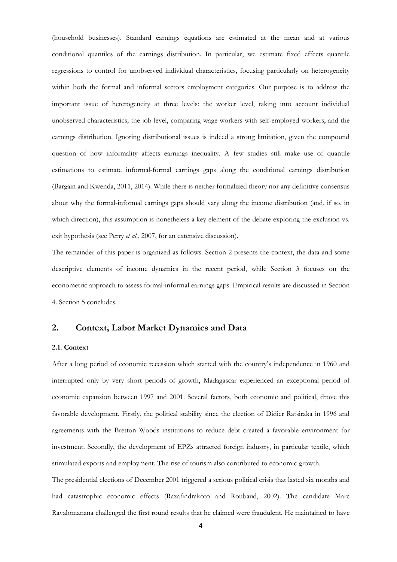(household businesses). Standard earnings equations are estimated at the mean and at various conditional quantiles of the earnings distribution. In particular, we estimate fixed effects quantile regressions to control for unobserved individual characteristics, focusing particularly on heterogeneity within both the formal and informal sectors employment categories. Our purpose is to address the important issue of heterogeneity at three levels: the worker level, taking into account individual unobserved characteristics; the job level, comparing wage workers with self-employed workers; and the earnings distribution. Ignoring distributional issues is indeed a strong limitation, given the compound question of how informality affects earnings inequality. A few studies still make use of quantile estimations to estimate informal-formal earnings gaps along the conditional earnings distribution (Bargain and Kwenda, 2011, 2014). While there is neither formalized theory nor any definitive consensus about why the formal-informal earnings gaps should vary along the income distribution (and, if so, in which direction), this assumption is nonetheless a key element of the debate exploring the exclusion vs. exit hypothesis (see Perry *et al*., 2007, for an extensive discussion).

The remainder of this paper is organized as follows. Section 2 presents the context, the data and some descriptive elements of income dynamics in the recent period, while Section 3 focuses on the econometric approach to assess formal-informal earnings gaps. Empirical results are discussed in Section 4. Section 5 concludes.

#### **2. Context, Labor Market Dynamics and Data**

#### **2.1. Context**

After a long period of economic recession which started with the country's independence in 1960 and interrupted only by very short periods of growth, Madagascar experienced an exceptional period of economic expansion between 1997 and 2001. Several factors, both economic and political, drove this favorable development. Firstly, the political stability since the election of Didier Ratsiraka in 1996 and agreements with the Bretton Woods institutions to reduce debt created a favorable environment for investment. Secondly, the development of EPZs attracted foreign industry, in particular textile, which stimulated exports and employment. The rise of tourism also contributed to economic growth.

The presidential elections of December 2001 triggered a serious political crisis that lasted six months and had catastrophic economic effects (Razafindrakoto and Roubaud, 2002). The candidate Marc Ravalomanana challenged the first round results that he claimed were fraudulent. He maintained to have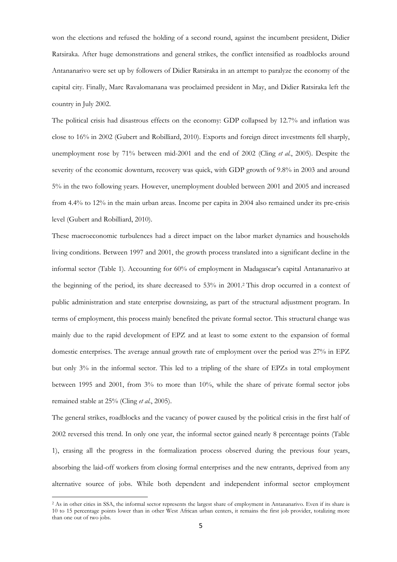won the elections and refused the holding of a second round, against the incumbent president, Didier Ratsiraka. After huge demonstrations and general strikes, the conflict intensified as roadblocks around Antananarivo were set up by followers of Didier Ratsiraka in an attempt to paralyze the economy of the capital city. Finally, Marc Ravalomanana was proclaimed president in May, and Didier Ratsiraka left the country in July 2002.

The political crisis had disastrous effects on the economy: GDP collapsed by 12.7% and inflation was close to 16% in 2002 (Gubert and Robilliard, 2010). Exports and foreign direct investments fell sharply, unemployment rose by 71% between mid-2001 and the end of 2002 (Cling *et al.*, 2005). Despite the severity of the economic downturn, recovery was quick, with GDP growth of 9.8% in 2003 and around 5% in the two following years. However, unemployment doubled between 2001 and 2005 and increased from 4.4% to 12% in the main urban areas. Income per capita in 2004 also remained under its pre-crisis level (Gubert and Robilliard, 2010).

These macroeconomic turbulences had a direct impact on the labor market dynamics and households living conditions. Between 1997 and 2001, the growth process translated into a significant decline in the informal sector (Table 1). Accounting for 60% of employment in Madagascar's capital Antananarivo at the beginning of the period, its share decreased to 53% in 2001.2 This drop occurred in a context of public administration and state enterprise downsizing, as part of the structural adjustment program. In terms of employment, this process mainly benefited the private formal sector. This structural change was mainly due to the rapid development of EPZ and at least to some extent to the expansion of formal domestic enterprises. The average annual growth rate of employment over the period was 27% in EPZ but only 3% in the informal sector. This led to a tripling of the share of EPZs in total employment between 1995 and 2001, from 3% to more than 10%, while the share of private formal sector jobs remained stable at 25% (Cling *et al.*, 2005).

The general strikes, roadblocks and the vacancy of power caused by the political crisis in the first half of 2002 reversed this trend. In only one year, the informal sector gained nearly 8 percentage points (Table 1), erasing all the progress in the formalization process observed during the previous four years, absorbing the laid-off workers from closing formal enterprises and the new entrants, deprived from any alternative source of jobs. While both dependent and independent informal sector employment

<sup>&</sup>lt;sup>2</sup> As in other cities in SSA, the informal sector represents the largest share of employment in Antananarivo. Even if its share is 10 to 15 percentage points lower than in other West African urban centers, it remains the first job provider, totalizing more than one out of two jobs.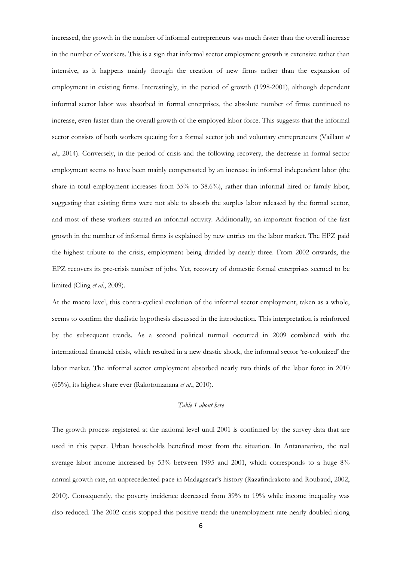increased, the growth in the number of informal entrepreneurs was much faster than the overall increase in the number of workers. This is a sign that informal sector employment growth is extensive rather than intensive, as it happens mainly through the creation of new firms rather than the expansion of employment in existing firms. Interestingly, in the period of growth (1998-2001), although dependent informal sector labor was absorbed in formal enterprises, the absolute number of firms continued to increase, even faster than the overall growth of the employed labor force. This suggests that the informal sector consists of both workers queuing for a formal sector job and voluntary entrepreneurs (Vaillant *et al.*, 2014). Conversely, in the period of crisis and the following recovery, the decrease in formal sector employment seems to have been mainly compensated by an increase in informal independent labor (the share in total employment increases from 35% to 38.6%), rather than informal hired or family labor, suggesting that existing firms were not able to absorb the surplus labor released by the formal sector, and most of these workers started an informal activity. Additionally, an important fraction of the fast growth in the number of informal firms is explained by new entries on the labor market. The EPZ paid the highest tribute to the crisis, employment being divided by nearly three. From 2002 onwards, the EPZ recovers its pre-crisis number of jobs. Yet, recovery of domestic formal enterprises seemed to be limited (Cling *et al.*, 2009).

At the macro level, this contra-cyclical evolution of the informal sector employment, taken as a whole, seems to confirm the dualistic hypothesis discussed in the introduction. This interpretation is reinforced by the subsequent trends. As a second political turmoil occurred in 2009 combined with the international financial crisis, which resulted in a new drastic shock, the informal sector 're-colonized' the labor market. The informal sector employment absorbed nearly two thirds of the labor force in 2010 (65%), its highest share ever (Rakotomanana *et al.*, 2010).

#### *Table 1 about here*

The growth process registered at the national level until 2001 is confirmed by the survey data that are used in this paper. Urban households benefited most from the situation. In Antananarivo, the real average labor income increased by 53% between 1995 and 2001, which corresponds to a huge 8% annual growth rate, an unprecedented pace in Madagascar's history (Razafindrakoto and Roubaud, 2002, 2010). Consequently, the poverty incidence decreased from 39% to 19% while income inequality was also reduced. The 2002 crisis stopped this positive trend: the unemployment rate nearly doubled along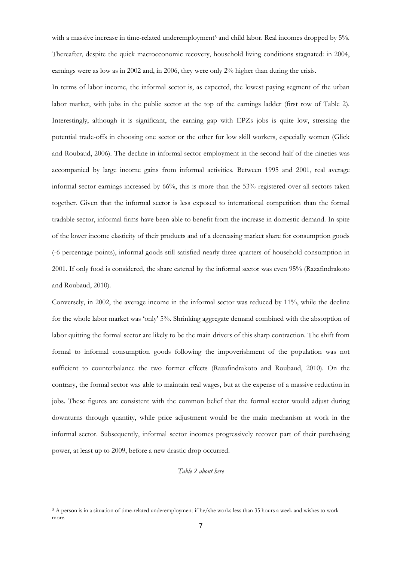with a massive increase in time-related underemployment<sup>3</sup> and child labor. Real incomes dropped by 5%. Thereafter, despite the quick macroeconomic recovery, household living conditions stagnated: in 2004, earnings were as low as in 2002 and, in 2006, they were only 2% higher than during the crisis.

In terms of labor income, the informal sector is, as expected, the lowest paying segment of the urban labor market, with jobs in the public sector at the top of the earnings ladder (first row of Table 2). Interestingly, although it is significant, the earning gap with EPZs jobs is quite low, stressing the potential trade-offs in choosing one sector or the other for low skill workers, especially women (Glick and Roubaud, 2006). The decline in informal sector employment in the second half of the nineties was accompanied by large income gains from informal activities. Between 1995 and 2001, real average informal sector earnings increased by 66%, this is more than the 53% registered over all sectors taken together. Given that the informal sector is less exposed to international competition than the formal tradable sector, informal firms have been able to benefit from the increase in domestic demand. In spite of the lower income elasticity of their products and of a decreasing market share for consumption goods (-6 percentage points), informal goods still satisfied nearly three quarters of household consumption in 2001. If only food is considered, the share catered by the informal sector was even 95% (Razafindrakoto and Roubaud, 2010).

Conversely, in 2002, the average income in the informal sector was reduced by 11%, while the decline for the whole labor market was 'only' 5%. Shrinking aggregate demand combined with the absorption of labor quitting the formal sector are likely to be the main drivers of this sharp contraction. The shift from formal to informal consumption goods following the impoverishment of the population was not sufficient to counterbalance the two former effects (Razafindrakoto and Roubaud, 2010). On the contrary, the formal sector was able to maintain real wages, but at the expense of a massive reduction in jobs. These figures are consistent with the common belief that the formal sector would adjust during downturns through quantity, while price adjustment would be the main mechanism at work in the informal sector. Subsequently, informal sector incomes progressively recover part of their purchasing power, at least up to 2009, before a new drastic drop occurred.

*Table 2 about here* 

 $3$  A person is in a situation of time-related underemployment if he/she works less than 35 hours a week and wishes to work more.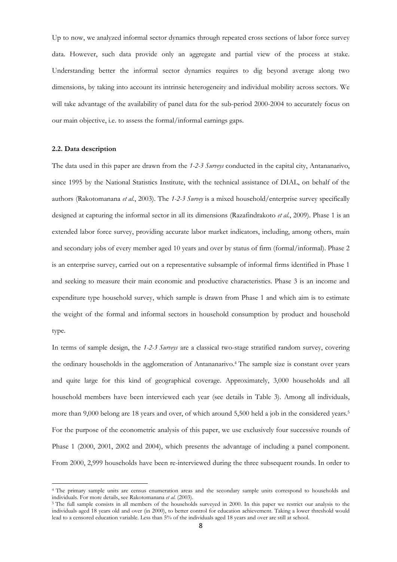Up to now, we analyzed informal sector dynamics through repeated cross sections of labor force survey data. However, such data provide only an aggregate and partial view of the process at stake. Understanding better the informal sector dynamics requires to dig beyond average along two dimensions, by taking into account its intrinsic heterogeneity and individual mobility across sectors. We will take advantage of the availability of panel data for the sub-period 2000-2004 to accurately focus on our main objective, i.e. to assess the formal/informal earnings gaps.

#### **2.2. Data description**

The data used in this paper are drawn from the *1-2-3 Surveys* conducted in the capital city, Antananarivo, since 1995 by the National Statistics Institute, with the technical assistance of DIAL, on behalf of the authors (Rakotomanana *et al.*, 2003). The *1-2-3 Survey* is a mixed household/enterprise survey specifically designed at capturing the informal sector in all its dimensions (Razafindrakoto *et al.*, 2009). Phase 1 is an extended labor force survey, providing accurate labor market indicators, including, among others, main and secondary jobs of every member aged 10 years and over by status of firm (formal/informal). Phase 2 is an enterprise survey, carried out on a representative subsample of informal firms identified in Phase 1 and seeking to measure their main economic and productive characteristics. Phase 3 is an income and expenditure type household survey, which sample is drawn from Phase 1 and which aim is to estimate the weight of the formal and informal sectors in household consumption by product and household type.

In terms of sample design, the *1-2-3 Surveys* are a classical two-stage stratified random survey, covering the ordinary households in the agglomeration of Antananarivo.4 The sample size is constant over years and quite large for this kind of geographical coverage. Approximately, 3,000 households and all household members have been interviewed each year (see details in Table 3). Among all individuals, more than 9,000 belong are 18 years and over, of which around 5,500 held a job in the considered years.<sup>5</sup> For the purpose of the econometric analysis of this paper, we use exclusively four successive rounds of Phase 1 (2000, 2001, 2002 and 2004), which presents the advantage of including a panel component. From 2000, 2,999 households have been re-interviewed during the three subsequent rounds. In order to

<sup>4</sup> The primary sample units are census enumeration areas and the secondary sample units correspond to households and individuals. For more details, see Rakotomanana *et al.* (2003). <sup>5</sup> The full sample consists in all members of the households surveyed in 2000. In this paper we restrict our analysis to the

individuals aged 18 years old and over (in 2000), to better control for education achievement. Taking a lower threshold would lead to a censored education variable. Less than 5% of the individuals aged 18 years and over are still at school.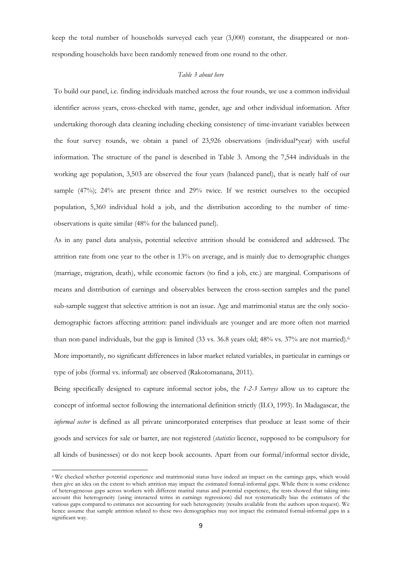keep the total number of households surveyed each year (3,000) constant, the disappeared or nonresponding households have been randomly renewed from one round to the other.

#### *Table 3 about here*

To build our panel, i.e. finding individuals matched across the four rounds, we use a common individual identifier across years, cross-checked with name, gender, age and other individual information. After undertaking thorough data cleaning including checking consistency of time-invariant variables between the four survey rounds, we obtain a panel of 23,926 observations (individual\*year) with useful information. The structure of the panel is described in Table 3. Among the 7,544 individuals in the working age population, 3,503 are observed the four years (balanced panel), that is nearly half of our sample (47%); 24% are present thrice and 29% twice. If we restrict ourselves to the occupied population, 5,360 individual hold a job, and the distribution according to the number of timeobservations is quite similar (48% for the balanced panel).

As in any panel data analysis, potential selective attrition should be considered and addressed. The attrition rate from one year to the other is 13% on average, and is mainly due to demographic changes (marriage, migration, death), while economic factors (to find a job, etc.) are marginal. Comparisons of means and distribution of earnings and observables between the cross-section samples and the panel sub-sample suggest that selective attrition is not an issue. Age and matrimonial status are the only sociodemographic factors affecting attrition: panel individuals are younger and are more often not married than non-panel individuals, but the gap is limited (33 vs. 36.8 years old; 48% vs. 37% are not married).<sup>6</sup> More importantly, no significant differences in labor market related variables, in particular in earnings or type of jobs (formal vs. informal) are observed (Rakotomanana, 2011).

Being specifically designed to capture informal sector jobs, the *1-2-3 Surveys* allow us to capture the concept of informal sector following the international definition strictly (ILO, 1993). In Madagascar, the *informal sector* is defined as all private unincorporated enterprises that produce at least some of their goods and services for sale or barter, are not registered (*statistics* licence, supposed to be compulsory for all kinds of businesses) or do not keep book accounts. Apart from our formal/informal sector divide,

<sup>&</sup>lt;sup>6</sup>We checked whether potential experience and matrimonial status have indeed an impact on the earnings gaps, which would then give an idea on the extent to which attrition may impact the estimated formal-informal gaps. While there is some evidence of heterogeneous gaps across workers with different marital status and potential experience, the tests showed that taking into account this heterogeneity (using interacted terms in earnings regressions) did not systematically bias the estimates of the various gaps compared to estimates not accounting for such heterogeneity (results available from the authors upon request). We hence assume that sample attrition related to these two demographics may not impact the estimated formal-informal gaps in a significant way.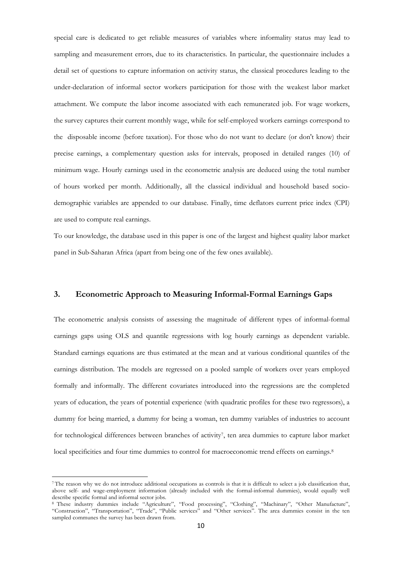special care is dedicated to get reliable measures of variables where informality status may lead to sampling and measurement errors, due to its characteristics. In particular, the questionnaire includes a detail set of questions to capture information on activity status, the classical procedures leading to the under-declaration of informal sector workers participation for those with the weakest labor market attachment. We compute the labor income associated with each remunerated job. For wage workers, the survey captures their current monthly wage, while for self-employed workers earnings correspond to the disposable income (before taxation). For those who do not want to declare (or don't know) their precise earnings, a complementary question asks for intervals, proposed in detailed ranges (10) of minimum wage. Hourly earnings used in the econometric analysis are deduced using the total number of hours worked per month. Additionally, all the classical individual and household based sociodemographic variables are appended to our database. Finally, time deflators current price index (CPI) are used to compute real earnings.

To our knowledge, the database used in this paper is one of the largest and highest quality labor market panel in Sub-Saharan Africa (apart from being one of the few ones available).

#### **3. Econometric Approach to Measuring Informal-Formal Earnings Gaps**

The econometric analysis consists of assessing the magnitude of different types of informal-formal earnings gaps using OLS and quantile regressions with log hourly earnings as dependent variable. Standard earnings equations are thus estimated at the mean and at various conditional quantiles of the earnings distribution. The models are regressed on a pooled sample of workers over years employed formally and informally. The different covariates introduced into the regressions are the completed years of education, the years of potential experience (with quadratic profiles for these two regressors), a dummy for being married, a dummy for being a woman, ten dummy variables of industries to account for technological differences between branches of activity<sup>7</sup>, ten area dummies to capture labor market local specificities and four time dummies to control for macroeconomic trend effects on earnings.<sup>8</sup>

<sup>7</sup> The reason why we do not introduce additional occupations as controls is that it is difficult to select a job classification that, above self- and wage-employment information (already included with the formal-informal dummies), would equally well describe specific formal and informal sector jobs.

<sup>8</sup> These industry dummies include "Agriculture", "Food processing", "Clothing", "Machinary", "Other Manufacture", "Construction", "Transportation", "Trade", "Public services" and "Other services". The area dummies consist in the ten sampled communes the survey has been drawn from.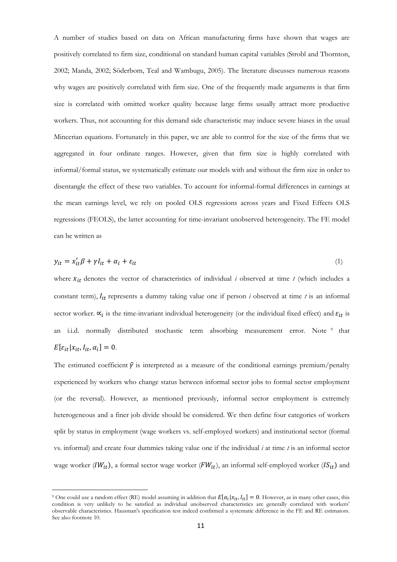A number of studies based on data on African manufacturing firms have shown that wages are positively correlated to firm size, conditional on standard human capital variables (Strobl and Thornton, 2002; Manda, 2002; Söderbom, Teal and Wambugu, 2005). The literature discusses numerous reasons why wages are positively correlated with firm size. One of the frequently made arguments is that firm size is correlated with omitted worker quality because large firms usually attract more productive workers. Thus, not accounting for this demand side characteristic may induce severe biases in the usual Mincerian equations. Fortunately in this paper, we are able to control for the size of the firms that we aggregated in four ordinate ranges. However, given that firm size is highly correlated with informal/formal status, we systematically estimate our models with and without the firm size in order to disentangle the effect of these two variables. To account for informal-formal differences in earnings at the mean earnings level, we rely on pooled OLS regressions across years and Fixed Effects OLS regressions (FEOLS), the latter accounting for time-invariant unobserved heterogeneity. The FE model can be written as

$$
y_{it} = x_{it}'\beta + \gamma I_{it} + \alpha_i + \varepsilon_{it}
$$
 (1)

where  $x_{it}$  denotes the vector of characteristics of individual *i* observed at time *t* (which includes a constant term),  $I_{it}$  represents a dummy taking value one if person  $i$  observed at time  $t$  is an informal sector worker.  $\alpha_i$  is the time-invariant individual heterogeneity (or the individual fixed effect) and  $\varepsilon_{it}$  is an i.i.d. normally distributed stochastic term absorbing measurement error. Note <sup>9</sup> that  $E[\varepsilon_{it} | x_{it}, I_{it}, \alpha_i] = 0.$ 

The estimated coefficient  $\hat{\gamma}$  is interpreted as a measure of the conditional earnings premium/penalty experienced by workers who change status between informal sector jobs to formal sector employment (or the reversal). However, as mentioned previously, informal sector employment is extremely heterogeneous and a finer job divide should be considered. We then define four categories of workers split by status in employment (wage workers vs. self-employed workers) and institutional sector (formal vs. informal) and create four dummies taking value one if the individual *i* at time *t* is an informal sector wage worker (IW<sub>it</sub>), a formal sector wage worker (FW<sub>it</sub>), an informal self-employed worker (IS<sub>it</sub>) and

<sup>&</sup>lt;sup>9</sup> One could use a random effect (RE) model assuming in addition that  $E[\alpha_i | x_{it}, I_{it}] = 0$ . However, as in many other cases, this condition is very unlikely to be satisfied as individual unobserved characteristics are generally correlated with workers' observable characteristics. Hausman's specification test indeed confirmed a systematic difference in the FE and RE estimators. See also footnote 10.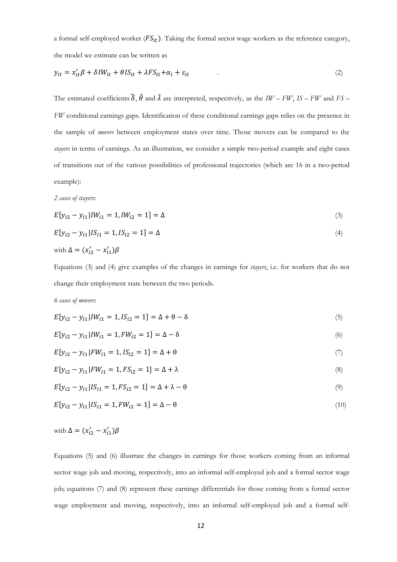a formal self-employed worker  $(FS_{it})$ . Taking the formal sector wage workers as the reference category, the model we estimate can be written as

$$
y_{it} = x_{it}'\beta + \delta I W_{it} + \theta I S_{it} + \lambda F S_{it} + \alpha_i + \varepsilon_{it}
$$
\n<sup>(2)</sup>

The estimated coefficients  $\hat{\delta}$ ,  $\hat{\theta}$  and  $\hat{\lambda}$  are interpreted, respectively, as the *IW – FW*, *IS – FW* and *FS – FW* conditional earnings gaps. Identification of these conditional earnings gaps relies on the presence in the sample of *movers* between employment states over time. Those movers can be compared to the *stayers* in terms of earnings. As an illustration, we consider a simple two-period example and eight cases of transitions out of the various possibilities of professional trajectories (which are 16 in a two-period example):

*2 cases of stayers*:

$$
E[y_{i2} - y_{i1} | IW_{i1} = 1, IW_{i2} = 1] = \Delta
$$
\n(3)

$$
E[y_{i2} - y_{i1} | I S_{i1} = 1, I S_{i2} = 1] = \Delta
$$
\n(4)

with 
$$
\Delta = (x'_{i2} - x'_{i1})\beta
$$

Equations (3) and (4) give examples of the changes in earnings for *stayers*, i.e. for workers that do not change their employment state between the two periods.

#### *6 cases of movers*:

$$
E[y_{i2} - y_{i1} | IW_{i1} = 1, IS_{i2} = 1] = \Delta + \theta - \delta
$$
\n(5)

$$
E[y_{i2} - y_{i1}]IW_{i1} = 1, FW_{i2} = 1] = \Delta - \delta
$$
\n(6)

$$
E[y_{i2} - y_{i1}]FW_{i1} = 1, IS_{i2} = 1] = \Delta + \theta
$$
\n(7)

$$
E[y_{i2} - y_{i1}]FW_{i1} = 1, FS_{i2} = 1] = \Delta + \lambda
$$
\n(8)

$$
E[y_{i2} - y_{i1} | I S_{i1} = 1, F S_{i2} = 1] = \Delta + \lambda - \theta
$$
\n(9)

$$
E[y_{i2} - y_{i1} | I S_{i1} = 1, FW_{i2} = 1] = \Delta - \theta
$$
\n(10)

with  $\Delta = (x_{i2}' - x_{i1}')\beta$ 

Equations (5) and (6) illustrate the changes in earnings for those workers coming from an informal sector wage job and moving, respectively, into an informal self-employed job and a formal sector wage job; equations (7) and (8) represent these earnings differentials for those coming from a formal sector wage employment and moving, respectively, into an informal self-employed job and a formal self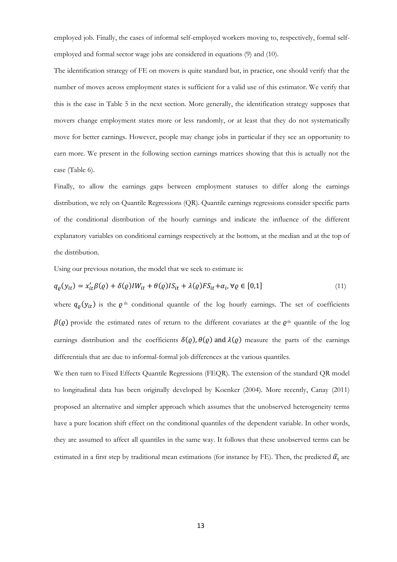employed job. Finally, the cases of informal self-employed workers moving to, respectively, formal selfemployed and formal sector wage jobs are considered in equations (9) and (10).

The identification strategy of FE on movers is quite standard but, in practice, one should verify that the number of moves across employment states is sufficient for a valid use of this estimator. We verify that this is the case in Table 5 in the next section. More generally, the identification strategy supposes that movers change employment states more or less randomly, or at least that they do not systematically move for better earnings. However, people may change jobs in particular if they see an opportunity to earn more. We present in the following section earnings matrices showing that this is actually not the case (Table 6).

Finally, to allow the earnings gaps between employment statuses to differ along the earnings distribution, we rely on Quantile Regressions (QR). Quantile earnings regressions consider specific parts of the conditional distribution of the hourly earnings and indicate the influence of the different explanatory variables on conditional earnings respectively at the bottom, at the median and at the top of the distribution.

Using our previous notation, the model that we seek to estimate is:

$$
q_{\varrho}(y_{it}) = x_{it}'\beta(\varrho) + \delta(\varrho)IW_{it} + \theta(\varrho)IS_{it} + \lambda(\varrho)FS_{it} + \alpha_i, \forall \varrho \in [0,1]
$$
\n(11)

where  $q_{\varrho}(y_{it})$  is the  $\varrho$ <sup>th</sup> conditional quantile of the log hourly earnings. The set of coefficients  $\beta$ ( $\varrho$ ) provide the estimated rates of return to the different covariates at the  $\varrho$ <sup>th</sup> quantile of the log earnings distribution and the coefficients  $\delta(\varrho), \theta(\varrho)$  and  $\lambda(\varrho)$  measure the parts of the earnings differentials that are due to informal-formal job differences at the various quantiles.

We then turn to Fixed Effects Quantile Regressions (FEQR). The extension of the standard QR model to longitudinal data has been originally developed by Koenker (2004). More recently, Canay (2011) proposed an alternative and simpler approach which assumes that the unobserved heterogeneity terms have a pure location shift effect on the conditional quantiles of the dependent variable. In other words, they are assumed to affect all quantiles in the same way. It follows that these unobserved terms can be estimated in a first step by traditional mean estimations (for instance by FE). Then, the predicted  $\hat{\alpha}_i$  are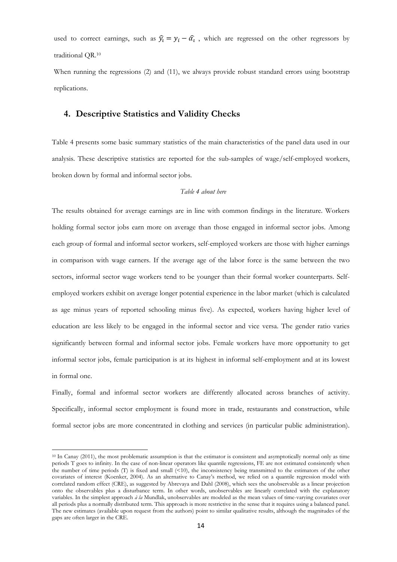used to correct earnings, such as  $\hat{y}_i = y_i - \hat{\alpha}_i$ , which are regressed on the other regressors by traditional QR.10

When running the regressions (2) and (11), we always provide robust standard errors using bootstrap replications.

#### **4. Descriptive Statistics and Validity Checks**

Table 4 presents some basic summary statistics of the main characteristics of the panel data used in our analysis. These descriptive statistics are reported for the sub-samples of wage/self-employed workers, broken down by formal and informal sector jobs.

#### *Table 4 about here*

The results obtained for average earnings are in line with common findings in the literature. Workers holding formal sector jobs earn more on average than those engaged in informal sector jobs. Among each group of formal and informal sector workers, self-employed workers are those with higher earnings in comparison with wage earners. If the average age of the labor force is the same between the two sectors, informal sector wage workers tend to be younger than their formal worker counterparts. Selfemployed workers exhibit on average longer potential experience in the labor market (which is calculated as age minus years of reported schooling minus five). As expected, workers having higher level of education are less likely to be engaged in the informal sector and vice versa. The gender ratio varies significantly between formal and informal sector jobs. Female workers have more opportunity to get informal sector jobs, female participation is at its highest in informal self-employment and at its lowest in formal one.

Finally, formal and informal sector workers are differently allocated across branches of activity. Specifically, informal sector employment is found more in trade, restaurants and construction, while formal sector jobs are more concentrated in clothing and services (in particular public administration).

<sup>&</sup>lt;sup>10</sup> In Canay (2011), the most problematic assumption is that the estimator is consistent and asymptotically normal only as time periods T goes to infinity. In the case of non-linear operators like quantile regressions, FE are not estimated consistently when the number of time periods (T) is fixed and small (<10), the inconsistency being transmitted to the estimators of the other covariates of interest (Koenker, 2004). As an alternative to Canay's method, we relied on a quantile regression model with correlated random effect (CRE), as suggested by Abrevaya and Dahl (2008), which sees the unobservable as a linear projection onto the observables plus a disturbance term. In other words, unobservables are linearly correlated with the explanatory variables. In the simplest approach *à la* Mundlak, unobservables are modeled as the mean values of time-varying covariates over all periods plus a normally distributed term. This approach is more restrictive in the sense that it requires using a balanced panel. The new estimates (available upon request from the authors) point to similar qualitative results, although the magnitudes of the gaps are often larger in the CRE.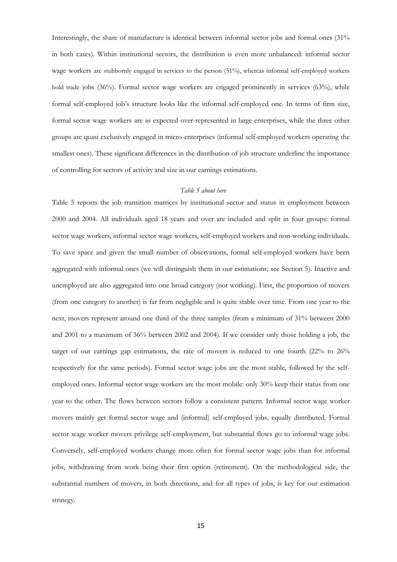Interestingly, the share of manufacture is identical between informal sector jobs and formal ones (31% in both cases). Within institutional sectors, the distribution is even more unbalanced: informal sector wage workers are stubbornly engaged in services to the person (51%), whereas informal self-employed workers hold trade jobs (36%). Formal sector wage workers are engaged prominently in services (63%), while formal self-employed job's structure looks like the informal self-employed one. In terms of firm size, formal sector wage workers are as expected over-represented in large enterprises, while the three other groups are quasi exclusively engaged in micro-enterprises (informal self-employed workers operating the smallest ones). These significant differences in the distribution of job structure underline the importance of controlling for sectors of activity and size in our earnings estimations.

#### *Table 5 about here*

Table 5 reports the job transition matrices by institutional sector and status in employment between 2000 and 2004. All individuals aged 18 years and over are included and split in four groups: formal sector wage workers, informal sector wage workers, self-employed workers and non-working individuals. To save space and given the small number of observations, formal self-employed workers have been aggregated with informal ones (we will distinguish them in our estimations; see Section 5). Inactive and unemployed are also aggregated into one broad category (not working). First, the proportion of movers (from one category to another) is far from negligible and is quite stable over time. From one year to the next, movers represent around one third of the three samples (from a minimum of 31% between 2000 and 2001 to a maximum of 36% between 2002 and 2004). If we consider only those holding a job, the target of our earnings gap estimations, the rate of movers is reduced to one fourth (22% to 26% respectively for the same periods). Formal sector wage jobs are the most stable, followed by the selfemployed ones. Informal sector wage workers are the most mobile: only 30% keep their status from one year to the other. The flows between sectors follow a consistent pattern. Informal sector wage worker movers mainly get formal sector wage and (informal) self-employed jobs, equally distributed. Formal sector wage worker movers privilege self-employment, but substantial flows go to informal wage jobs. Conversely, self-employed workers change more often for formal sector wage jobs than for informal jobs, withdrawing from work being their first option (retirement). On the methodological side, the substantial numbers of movers, in both directions, and for all types of jobs, is key for our estimation strategy.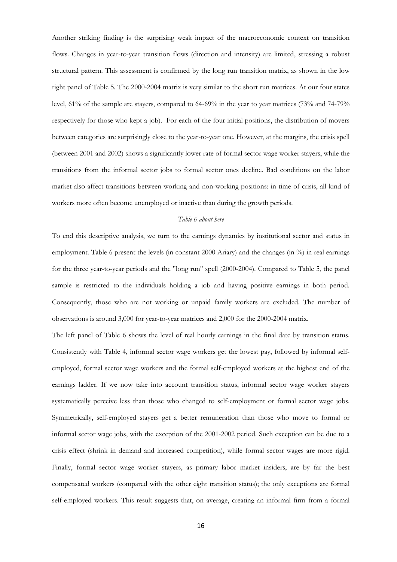Another striking finding is the surprising weak impact of the macroeconomic context on transition flows. Changes in year-to-year transition flows (direction and intensity) are limited, stressing a robust structural pattern. This assessment is confirmed by the long run transition matrix, as shown in the low right panel of Table 5. The 2000-2004 matrix is very similar to the short run matrices. At our four states level, 61% of the sample are stayers, compared to 64-69% in the year to year matrices (73% and 74-79% respectively for those who kept a job). For each of the four initial positions, the distribution of movers between categories are surprisingly close to the year-to-year one. However, at the margins, the crisis spell (between 2001 and 2002) shows a significantly lower rate of formal sector wage worker stayers, while the transitions from the informal sector jobs to formal sector ones decline. Bad conditions on the labor market also affect transitions between working and non-working positions: in time of crisis, all kind of workers more often become unemployed or inactive than during the growth periods.

#### *Table 6 about here*

To end this descriptive analysis, we turn to the earnings dynamics by institutional sector and status in employment. Table 6 present the levels (in constant 2000 Ariary) and the changes (in %) in real earnings for the three year-to-year periods and the "long run" spell (2000-2004). Compared to Table 5, the panel sample is restricted to the individuals holding a job and having positive earnings in both period. Consequently, those who are not working or unpaid family workers are excluded. The number of observations is around 3,000 for year-to-year matrices and 2,000 for the 2000-2004 matrix.

The left panel of Table 6 shows the level of real hourly earnings in the final date by transition status. Consistently with Table 4, informal sector wage workers get the lowest pay, followed by informal selfemployed, formal sector wage workers and the formal self-employed workers at the highest end of the earnings ladder. If we now take into account transition status, informal sector wage worker stayers systematically perceive less than those who changed to self-employment or formal sector wage jobs. Symmetrically, self-employed stayers get a better remuneration than those who move to formal or informal sector wage jobs, with the exception of the 2001-2002 period. Such exception can be due to a crisis effect (shrink in demand and increased competition), while formal sector wages are more rigid. Finally, formal sector wage worker stayers, as primary labor market insiders, are by far the best compensated workers (compared with the other eight transition status); the only exceptions are formal self-employed workers. This result suggests that, on average, creating an informal firm from a formal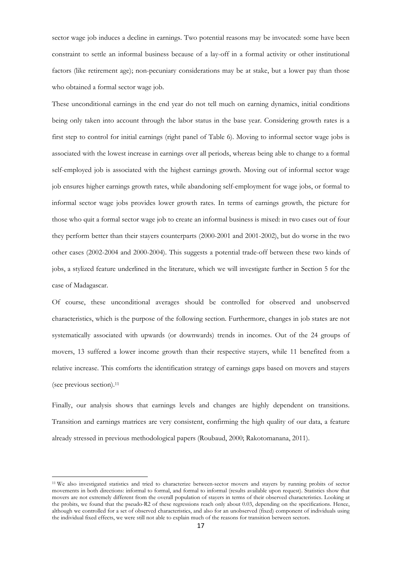sector wage job induces a decline in earnings. Two potential reasons may be invocated: some have been constraint to settle an informal business because of a lay-off in a formal activity or other institutional factors (like retirement age); non-pecuniary considerations may be at stake, but a lower pay than those who obtained a formal sector wage job.

These unconditional earnings in the end year do not tell much on earning dynamics, initial conditions being only taken into account through the labor status in the base year. Considering growth rates is a first step to control for initial earnings (right panel of Table 6). Moving to informal sector wage jobs is associated with the lowest increase in earnings over all periods, whereas being able to change to a formal self-employed job is associated with the highest earnings growth. Moving out of informal sector wage job ensures higher earnings growth rates, while abandoning self-employment for wage jobs, or formal to informal sector wage jobs provides lower growth rates. In terms of earnings growth, the picture for those who quit a formal sector wage job to create an informal business is mixed: in two cases out of four they perform better than their stayers counterparts (2000-2001 and 2001-2002), but do worse in the two other cases (2002-2004 and 2000-2004). This suggests a potential trade-off between these two kinds of jobs, a stylized feature underlined in the literature, which we will investigate further in Section 5 for the case of Madagascar.

Of course, these unconditional averages should be controlled for observed and unobserved characteristics, which is the purpose of the following section. Furthermore, changes in job states are not systematically associated with upwards (or downwards) trends in incomes. Out of the 24 groups of movers, 13 suffered a lower income growth than their respective stayers, while 11 benefited from a relative increase. This comforts the identification strategy of earnings gaps based on movers and stayers (see previous section).11

Finally, our analysis shows that earnings levels and changes are highly dependent on transitions. Transition and earnings matrices are very consistent, confirming the high quality of our data, a feature already stressed in previous methodological papers (Roubaud, 2000; Rakotomanana, 2011).

<sup>11</sup> We also investigated statistics and tried to characterize between-sector movers and stayers by running probits of sector movements in both directions: informal to formal, and formal to informal (results available upon request). Statistics show that movers are not extremely different from the overall population of stayers in terms of their observed characteristics. Looking at the probits, we found that the pseudo-R2 of these regressions reach only about 0.03, depending on the specifications. Hence, although we controlled for a set of observed characteristics, and also for an unobserved (fixed) component of individuals using the individual fixed effects, we were still not able to explain much of the reasons for transition between sectors.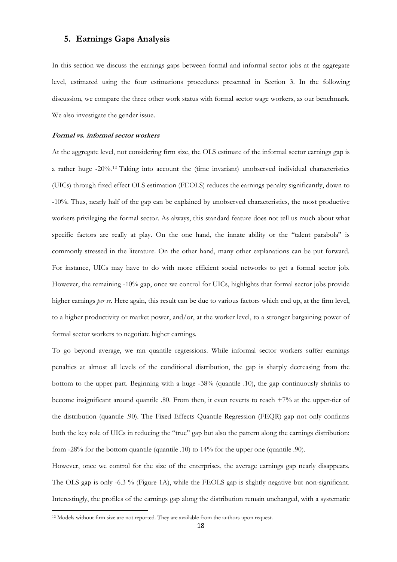#### **5. Earnings Gaps Analysis**

In this section we discuss the earnings gaps between formal and informal sector jobs at the aggregate level, estimated using the four estimations procedures presented in Section 3. In the following discussion, we compare the three other work status with formal sector wage workers, as our benchmark. We also investigate the gender issue.

#### **Formal vs. informal sector workers**

At the aggregate level, not considering firm size, the OLS estimate of the informal sector earnings gap is a rather huge -20%.12 Taking into account the (time invariant) unobserved individual characteristics (UICs) through fixed effect OLS estimation (FEOLS) reduces the earnings penalty significantly, down to -10%. Thus, nearly half of the gap can be explained by unobserved characteristics, the most productive workers privileging the formal sector. As always, this standard feature does not tell us much about what specific factors are really at play. On the one hand, the innate ability or the "talent parabola" is commonly stressed in the literature. On the other hand, many other explanations can be put forward. For instance, UICs may have to do with more efficient social networks to get a formal sector job. However, the remaining -10% gap, once we control for UICs, highlights that formal sector jobs provide higher earnings *per se*. Here again, this result can be due to various factors which end up, at the firm level, to a higher productivity or market power, and/or, at the worker level, to a stronger bargaining power of formal sector workers to negotiate higher earnings.

To go beyond average, we ran quantile regressions. While informal sector workers suffer earnings penalties at almost all levels of the conditional distribution, the gap is sharply decreasing from the bottom to the upper part. Beginning with a huge -38% (quantile .10), the gap continuously shrinks to become insignificant around quantile .80. From then, it even reverts to reach +7% at the upper-tier of the distribution (quantile .90). The Fixed Effects Quantile Regression (FEQR) gap not only confirms both the key role of UICs in reducing the "true" gap but also the pattern along the earnings distribution: from -28% for the bottom quantile (quantile .10) to 14% for the upper one (quantile .90).

However, once we control for the size of the enterprises, the average earnings gap nearly disappears. The OLS gap is only -6.3 % (Figure 1A), while the FEOLS gap is slightly negative but non-significant. Interestingly, the profiles of the earnings gap along the distribution remain unchanged, with a systematic

<sup>&</sup>lt;sup>12</sup> Models without firm size are not reported. They are available from the authors upon request.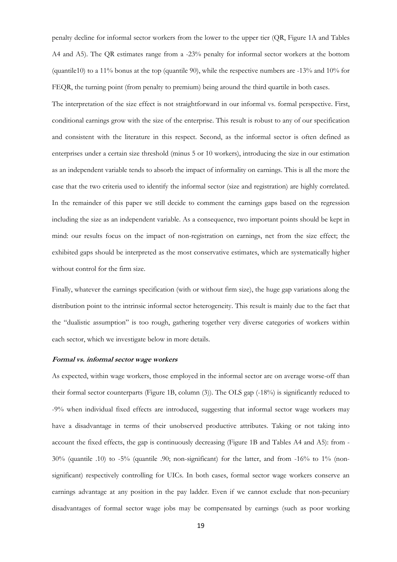penalty decline for informal sector workers from the lower to the upper tier (QR, Figure 1A and Tables A4 and A5). The QR estimates range from a -23% penalty for informal sector workers at the bottom (quantile10) to a 11% bonus at the top (quantile 90), while the respective numbers are -13% and 10% for FEQR, the turning point (from penalty to premium) being around the third quartile in both cases.

The interpretation of the size effect is not straightforward in our informal vs. formal perspective. First, conditional earnings grow with the size of the enterprise. This result is robust to any of our specification and consistent with the literature in this respect. Second, as the informal sector is often defined as enterprises under a certain size threshold (minus 5 or 10 workers), introducing the size in our estimation as an independent variable tends to absorb the impact of informality on earnings. This is all the more the case that the two criteria used to identify the informal sector (size and registration) are highly correlated. In the remainder of this paper we still decide to comment the earnings gaps based on the regression including the size as an independent variable. As a consequence, two important points should be kept in mind: our results focus on the impact of non-registration on earnings, net from the size effect; the exhibited gaps should be interpreted as the most conservative estimates, which are systematically higher without control for the firm size.

Finally, whatever the earnings specification (with or without firm size), the huge gap variations along the distribution point to the intrinsic informal sector heterogeneity. This result is mainly due to the fact that the "dualistic assumption" is too rough, gathering together very diverse categories of workers within each sector, which we investigate below in more details.

#### **Formal vs. informal sector wage workers**

As expected, within wage workers, those employed in the informal sector are on average worse-off than their formal sector counterparts (Figure 1B, column (3)). The OLS gap (-18%) is significantly reduced to -9% when individual fixed effects are introduced, suggesting that informal sector wage workers may have a disadvantage in terms of their unobserved productive attributes. Taking or not taking into account the fixed effects, the gap is continuously decreasing (Figure 1B and Tables A4 and A5): from - 30% (quantile .10) to -5% (quantile .90; non-significant) for the latter, and from -16% to 1% (nonsignificant) respectively controlling for UICs. In both cases, formal sector wage workers conserve an earnings advantage at any position in the pay ladder. Even if we cannot exclude that non-pecuniary disadvantages of formal sector wage jobs may be compensated by earnings (such as poor working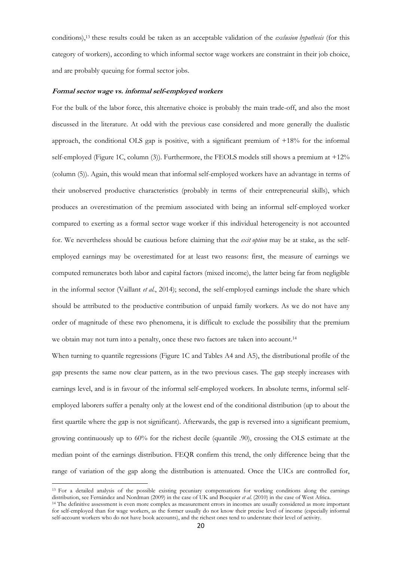conditions),13 these results could be taken as an acceptable validation of the *exclusion hypothesis* (for this category of workers), according to which informal sector wage workers are constraint in their job choice, and are probably queuing for formal sector jobs.

#### **Formal sector wage vs. informal self-employed workers**

For the bulk of the labor force, this alternative choice is probably the main trade-off, and also the most discussed in the literature. At odd with the previous case considered and more generally the dualistic approach, the conditional OLS gap is positive, with a significant premium of +18% for the informal self-employed (Figure 1C, column (3)). Furthermore, the FEOLS models still shows a premium at +12% (column (5)). Again, this would mean that informal self-employed workers have an advantage in terms of their unobserved productive characteristics (probably in terms of their entrepreneurial skills), which produces an overestimation of the premium associated with being an informal self-employed worker compared to exerting as a formal sector wage worker if this individual heterogeneity is not accounted for. We nevertheless should be cautious before claiming that the *exit option* may be at stake, as the selfemployed earnings may be overestimated for at least two reasons: first, the measure of earnings we computed remunerates both labor and capital factors (mixed income), the latter being far from negligible in the informal sector (Vaillant *et al.*, 2014); second, the self-employed earnings include the share which should be attributed to the productive contribution of unpaid family workers. As we do not have any order of magnitude of these two phenomena, it is difficult to exclude the possibility that the premium we obtain may not turn into a penalty, once these two factors are taken into account.14

When turning to quantile regressions (Figure 1C and Tables A4 and A5), the distributional profile of the gap presents the same now clear pattern, as in the two previous cases. The gap steeply increases with earnings level, and is in favour of the informal self-employed workers. In absolute terms, informal selfemployed laborers suffer a penalty only at the lowest end of the conditional distribution (up to about the first quartile where the gap is not significant). Afterwards, the gap is reversed into a significant premium, growing continuously up to 60% for the richest decile (quantile .90), crossing the OLS estimate at the median point of the earnings distribution. FEQR confirm this trend, the only difference being that the range of variation of the gap along the distribution is attenuated. Once the UICs are controlled for,

<sup>&</sup>lt;sup>13</sup> For a detailed analysis of the possible existing pecuniary compensations for working conditions along the earnings distribution, see Fernández and Nordman (2009) in the case of UK and Bocquier et al. (2010) in the case of West Africa.

for self-employed than for wage workers, as the former usually do not know their precise level of income (especially informal self-account workers who do not have book accounts), and the richest ones tend to understate their level of activity.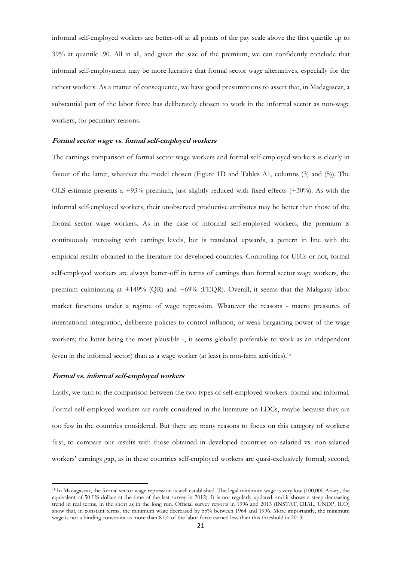informal self-employed workers are better-off at all points of the pay scale above the first quartile up to 39% at quantile .90. All in all, and given the size of the premium, we can confidently conclude that informal self-employment may be more lucrative that formal sector wage alternatives, especially for the richest workers. As a matter of consequence, we have good presumptions to assert that, in Madagascar, a substantial part of the labor force has deliberately chosen to work in the informal sector as non-wage workers, for pecuniary reasons.

#### **Formal sector wage vs. formal self-employed workers**

The earnings comparison of formal sector wage workers and formal self-employed workers is clearly in favour of the latter, whatever the model chosen (Figure 1D and Tables A1, columns (3) and (5)). The OLS estimate presents a +93% premium, just slightly reduced with fixed effects (+30%). As with the informal self-employed workers, their unobserved productive attributes may be better than those of the formal sector wage workers. As in the case of informal self-employed workers, the premium is continuously increasing with earnings levels, but is translated upwards, a pattern in line with the empirical results obtained in the literature for developed countries. Controlling for UICs or not, formal self-employed workers are always better-off in terms of earnings than formal sector wage workers, the premium culminating at +149% (QR) and +69% (FEQR). Overall, it seems that the Malagasy labor market functions under a regime of wage repression. Whatever the reasons - macro pressures of international integration, deliberate policies to control inflation, or weak bargaining power of the wage workers; the latter being the most plausible -, it seems globally preferable to work as an independent (even in the informal sector) than as a wage worker (at least in non-farm activities).15

#### **Formal vs. informal self-employed workers**

Lastly, we turn to the comparison between the two types of self-employed workers: formal and informal. Formal self-employed workers are rarely considered in the literature on LDCs, maybe because they are too few in the countries considered. But there are many reasons to focus on this category of workers: first, to compare our results with those obtained in developed countries on salaried vs. non-salaried workers' earnings gap, as in these countries self-employed workers are quasi-exclusively formal; second,

<sup>15</sup> In Madagascar, the formal sector wage repression is well established. The legal minimum wage is very low (100,000 Ariary, the equivalent of 50 US dollars at the time of the last survey in 2012). It is not regularly updated, and it shows a steep decreasing trend in real terms, in the short as in the long run. Official survey reports in 1996 and 2013 (INSTAT, DIAL, UNDP, ILO) show that, in constant terms, the minimum wage decreased by 55% between 1964 and 1996. More importantly, the minimum wage is not a binding constraint as more than 81% of the labor force earned less than this threshold in 2013.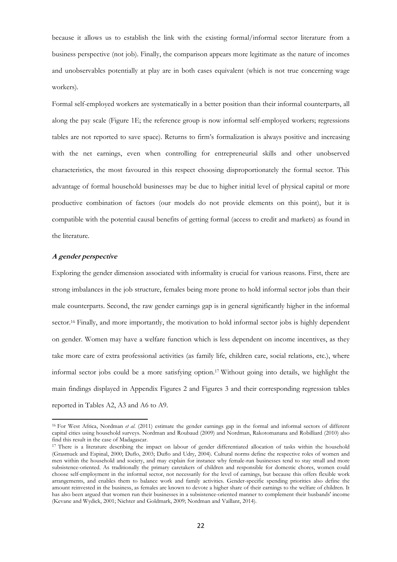because it allows us to establish the link with the existing formal/informal sector literature from a business perspective (not job). Finally, the comparison appears more legitimate as the nature of incomes and unobservables potentially at play are in both cases equivalent (which is not true concerning wage workers).

Formal self-employed workers are systematically in a better position than their informal counterparts, all along the pay scale (Figure 1E; the reference group is now informal self-employed workers; regressions tables are not reported to save space). Returns to firm's formalization is always positive and increasing with the net earnings, even when controlling for entrepreneurial skills and other unobserved characteristics, the most favoured in this respect choosing disproportionately the formal sector. This advantage of formal household businesses may be due to higher initial level of physical capital or more productive combination of factors (our models do not provide elements on this point), but it is compatible with the potential causal benefits of getting formal (access to credit and markets) as found in the literature.

#### **A gender perspective**

Exploring the gender dimension associated with informality is crucial for various reasons. First, there are strong imbalances in the job structure, females being more prone to hold informal sector jobs than their male counterparts. Second, the raw gender earnings gap is in general significantly higher in the informal sector.<sup>16</sup> Finally, and more importantly, the motivation to hold informal sector jobs is highly dependent on gender. Women may have a welfare function which is less dependent on income incentives, as they take more care of extra professional activities (as family life, children care, social relations, etc.), where informal sector jobs could be a more satisfying option.17 Without going into details, we highlight the main findings displayed in Appendix Figures 2 and Figures 3 and their corresponding regression tables reported in Tables A2, A3 and A6 to A9.

<sup>16</sup> For West Africa, Nordman *et al*. (2011) estimate the gender earnings gap in the formal and informal sectors of different capital cities using household surveys. Nordman and Roubaud (2009) and Nordman, Rakotomanana and Robilliard (2010) also find this result in the case of Madagascar.

<sup>&</sup>lt;sup>17</sup> There is a literature describing the impact on labour of gender differentiated allocation of tasks within the household (Grasmuck and Espinal, 2000; Duflo, 2003; Duflo and Udry, 2004). Cultural norms define the respective roles of women and men within the household and society, and may explain for instance why female-run businesses tend to stay small and more subsistence-oriented. As traditionally the primary caretakers of children and responsible for domestic chores, women could choose self-employment in the informal sector, not necessarily for the level of earnings, but because this offers flexible work arrangements, and enables them to balance work and family activities. Gender-specific spending priorities also define the amount reinvested in the business, as females are known to devote a higher share of their earnings to the welfare of children. It has also been argued that women run their businesses in a subsistence-oriented manner to complement their husbands' income (Kevane and Wydick, 2001; Nichter and Goldmark, 2009; Nordman and Vaillant, 2014).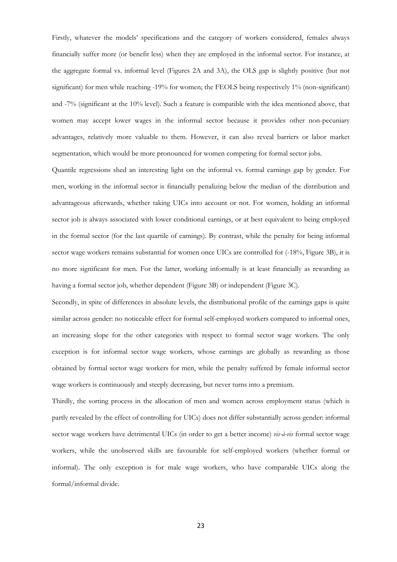Firstly, whatever the models' specifications and the category of workers considered, females always financially suffer more (or benefit less) when they are employed in the informal sector. For instance, at the aggregate formal vs. informal level (Figures 2A and 3A), the OLS gap is slightly positive (but not significant) for men while reaching -19% for women; the FEOLS being respectively 1% (non-significant) and -7% (significant at the 10% level). Such a feature is compatible with the idea mentioned above, that women may accept lower wages in the informal sector because it provides other non-pecuniary advantages, relatively more valuable to them. However, it can also reveal barriers or labor market segmentation, which would be more pronounced for women competing for formal sector jobs.

Quantile regressions shed an interesting light on the informal vs. formal earnings gap by gender. For men, working in the informal sector is financially penalizing below the median of the distribution and advantageous afterwards, whether taking UICs into account or not. For women, holding an informal sector job is always associated with lower conditional earnings, or at best equivalent to being employed in the formal sector (for the last quartile of earnings). By contrast, while the penalty for being informal sector wage workers remains substantial for women once UICs are controlled for (-18%, Figure 3B), it is no more significant for men. For the latter, working informally is at least financially as rewarding as having a formal sector job, whether dependent (Figure 3B) or independent (Figure 3C).

Secondly, in spite of differences in absolute levels, the distributional profile of the earnings gaps is quite similar across gender: no noticeable effect for formal self-employed workers compared to informal ones, an increasing slope for the other categories with respect to formal sector wage workers. The only exception is for informal sector wage workers, whose earnings are globally as rewarding as those obtained by formal sector wage workers for men, while the penalty suffered by female informal sector wage workers is continuously and steeply decreasing, but never turns into a premium.

Thirdly, the sorting process in the allocation of men and women across employment status (which is partly revealed by the effect of controlling for UICs) does not differ substantially across gender: informal sector wage workers have detrimental UICs (in order to get a better income) *vis-à-vis* formal sector wage workers, while the unobserved skills are favourable for self-employed workers (whether formal or informal). The only exception is for male wage workers, who have comparable UICs along the formal/informal divide.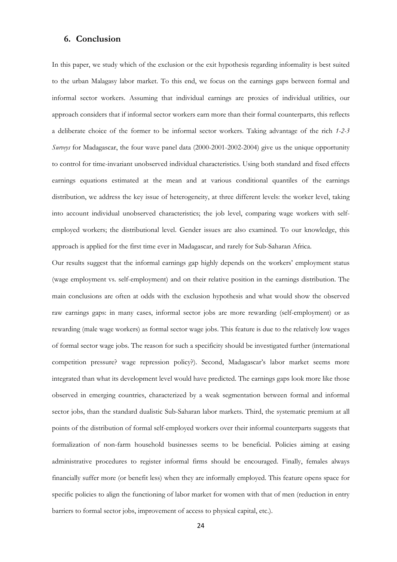#### **6. Conclusion**

In this paper, we study which of the exclusion or the exit hypothesis regarding informality is best suited to the urban Malagasy labor market. To this end, we focus on the earnings gaps between formal and informal sector workers. Assuming that individual earnings are proxies of individual utilities, our approach considers that if informal sector workers earn more than their formal counterparts, this reflects a deliberate choice of the former to be informal sector workers. Taking advantage of the rich *1-2-3 Surveys* for Madagascar, the four wave panel data (2000-2001-2002-2004) give us the unique opportunity to control for time-invariant unobserved individual characteristics. Using both standard and fixed effects earnings equations estimated at the mean and at various conditional quantiles of the earnings distribution, we address the key issue of heterogeneity, at three different levels: the worker level, taking into account individual unobserved characteristics; the job level, comparing wage workers with selfemployed workers; the distributional level. Gender issues are also examined. To our knowledge, this approach is applied for the first time ever in Madagascar, and rarely for Sub-Saharan Africa.

Our results suggest that the informal earnings gap highly depends on the workers' employment status (wage employment vs. self-employment) and on their relative position in the earnings distribution. The main conclusions are often at odds with the exclusion hypothesis and what would show the observed raw earnings gaps: in many cases, informal sector jobs are more rewarding (self-employment) or as rewarding (male wage workers) as formal sector wage jobs. This feature is due to the relatively low wages of formal sector wage jobs. The reason for such a specificity should be investigated further (international competition pressure? wage repression policy?). Second, Madagascar's labor market seems more integrated than what its development level would have predicted. The earnings gaps look more like those observed in emerging countries, characterized by a weak segmentation between formal and informal sector jobs, than the standard dualistic Sub-Saharan labor markets. Third, the systematic premium at all points of the distribution of formal self-employed workers over their informal counterparts suggests that formalization of non-farm household businesses seems to be beneficial. Policies aiming at easing administrative procedures to register informal firms should be encouraged. Finally, females always financially suffer more (or benefit less) when they are informally employed. This feature opens space for specific policies to align the functioning of labor market for women with that of men (reduction in entry barriers to formal sector jobs, improvement of access to physical capital, etc.).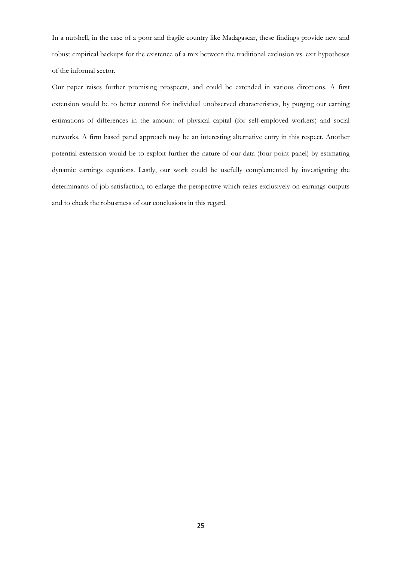In a nutshell, in the case of a poor and fragile country like Madagascar, these findings provide new and robust empirical backups for the existence of a mix between the traditional exclusion vs. exit hypotheses of the informal sector.

Our paper raises further promising prospects, and could be extended in various directions. A first extension would be to better control for individual unobserved characteristics, by purging our earning estimations of differences in the amount of physical capital (for self-employed workers) and social networks. A firm based panel approach may be an interesting alternative entry in this respect. Another potential extension would be to exploit further the nature of our data (four point panel) by estimating dynamic earnings equations. Lastly, our work could be usefully complemented by investigating the determinants of job satisfaction, to enlarge the perspective which relies exclusively on earnings outputs and to check the robustness of our conclusions in this regard.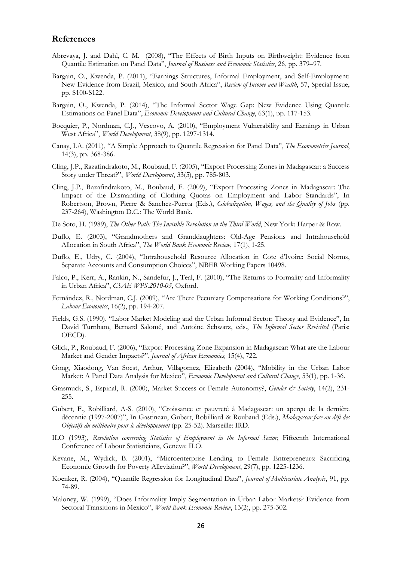#### **References**

- Abrevaya, J. and Dahl, C. M. (2008), "The Effects of Birth Inputs on Birthweight: Evidence from Quantile Estimation on Panel Data", *Journal of Business and Economic Statistics*, 26, pp. 379–97.
- Bargain, O., Kwenda, P. (2011), "Earnings Structures, Informal Employment, and Self-Employment: New Evidence from Brazil, Mexico, and South Africa", *Review of Income and Wealth*, 57, Special Issue, pp. S100-S122.
- Bargain, O., Kwenda, P. (2014), "The Informal Sector Wage Gap: New Evidence Using Quantile Estimations on Panel Data", *Economic Development and Cultural Change*, 63(1), pp. 117-153.
- Bocquier, P., Nordman, C.J., Vescovo, A. (2010), "Employment Vulnerability and Earnings in Urban West Africa", *World Development*, 38(9), pp. 1297-1314.
- Canay, I.A. (2011), "A Simple Approach to Quantile Regression for Panel Data", *The Econometrics Journal*, 14(3), pp. 368-386.
- Cling, J.P., Razafindrakoto, M., Roubaud, F. (2005), "Export Processing Zones in Madagascar: a Success Story under Threat?", *World Development*, 33(5), pp. 785-803.
- Cling, J.P., Razafindrakoto, M., Roubaud, F. (2009), "Export Processing Zones in Madagascar: The Impact of the Dismantling of Clothing Quotas on Employment and Labor Standards", In Robertson, Brown, Pierre & Sanchez-Puerta (Eds.), *Globalization, Wages, and the Quality of Jobs* (pp. 237-264), Washington D.C.: The World Bank.
- De Soto, H. (1989), *The Other Path: The Invisible Revolution in the Third World*, New York: Harper & Row.
- Duflo, E. (2003), "Grandmothers and Granddaughters: Old-Age Pensions and Intrahousehold Allocation in South Africa", *The World Bank Economic Review*, 17(1), 1-25.
- Duflo, E., Udry, C. (2004), "Intrahousehold Resource Allocation in Cote d'Ivoire: Social Norms, Separate Accounts and Consumption Choices", NBER Working Papers 10498.
- Falco, P., Kerr, A., Rankin, N., Sandefur, J., Teal, F. (2010), "The Returns to Formality and Informality in Urban Africa", *CSAE WPS.2010-03*, Oxford.
- Fernández, R., Nordman, C.J. (2009), "Are There Pecuniary Compensations for Working Conditions?", *Labour Economics*, 16(2), pp. 194-207.
- Fields, G.S. (1990). "Labor Market Modeling and the Urban Informal Sector: Theory and Evidence", In David Turnham, Bernard Salomé, and Antoine Schwarz, eds., *The Informal Sector Revisited* (Paris: OECD).
- Glick, P., Roubaud, F. (2006), "Export Processing Zone Expansion in Madagascar: What are the Labour Market and Gender Impacts?", *Journal of African Economies,* 15(4), 722.
- Gong, Xiaodong, Van Soest, Arthur, Villagomez, Elizabeth (2004), "Mobility in the Urban Labor Market: A Panel Data Analysis for Mexico", *Economic Development and Cultural Change*, 53(1), pp. 1-36.
- Grasmuck, S., Espinal, R. (2000), Market Success or Female Autonomy?, *Gender & Society*, 14(2), 231- 255.
- Gubert, F., Robilliard, A-S. (2010), "Croissance et pauvreté à Madagascar: un aperçu de la dernière décennie (1997-2007)", In Gastineau, Gubert, Robilliard & Roubaud (Eds.), *Madagascar face au défi des Objectifs du millénaire pour le développement* (pp. 25-52). Marseille: IRD.
- ILO (1993), *Resolution concerning Statistics of Employment in the Informal Sector*, Fifteenth International Conference of Labour Statisticians, Geneva: ILO.
- Kevane, M., Wydick, B. (2001), "Microenterprise Lending to Female Entrepreneurs: Sacrificing Economic Growth for Poverty Alleviation?", *World Development*, 29(7), pp. 1225-1236.
- Koenker, R. (2004), "Quantile Regression for Longitudinal Data", *Journal of Multivariate Analysis*, 91, pp. 74-89.
- Maloney, W. (1999), "Does Informality Imply Segmentation in Urban Labor Markets? Evidence from Sectoral Transitions in Mexico", *World Bank Economic Review*, 13(2), pp. 275-302.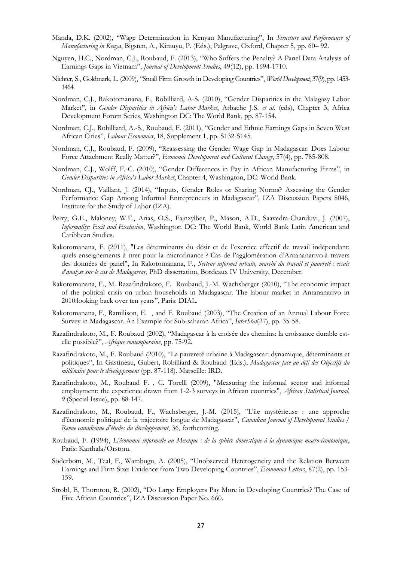- Manda, D.K. (2002), "Wage Determination in Kenyan Manufacturing", In *Structure and Performance of Manufacturing in Kenya*, Bigsten, A., Kimuyu, P. (Eds.), Palgrave, Oxford, Chapter 5, pp. 60– 92.
- Nguyen, H.C., Nordman, C.J., Roubaud, F. (2013), "Who Suffers the Penalty? A Panel Data Analysis of Earnings Gaps in Vietnam", *Journal of Development Studies*, 49(12), pp. 1694-1710.
- Nichter, S., Goldmark, L. (2009), "Small Firm Growth in Developing Countries", *World Development*, 37(9), pp. 1453- 1464.
- Nordman, C.J., Rakotomanana, F., Robilliard, A-S. (2010), "Gender Disparities in the Malagasy Labor Market", in *Gender Disparities in Africa's Labor Market*, Arbache J.S. *et al*. (eds), Chapter 3, Africa Development Forum Series, Washington DC: The World Bank, pp. 87-154.
- Nordman, C.J., Robilliard, A.-S., Roubaud, F. (2011), "Gender and Ethnic Earnings Gaps in Seven West African Cities", *Labour Economics*, 18, Supplement 1, pp. S132-S145.
- Nordman, C.J., Roubaud, F. (2009), "Reassessing the Gender Wage Gap in Madagascar: Does Labour Force Attachment Really Matter?", *Economic Development and Cultural Change*, 57(4), pp. 785-808.
- Nordman, C.J., Wolff, F.-C. (2010), "Gender Differences in Pay in African Manufacturing Firms", in *Gender Disparities in Africa's Labor Market*, Chapter 4, Washington, DC: World Bank.
- Nordman, CJ., Vaillant, J. (2014), "Inputs, Gender Roles or Sharing Norms? Assessing the Gender Performance Gap Among Informal Entrepreneurs in Madagascar", IZA Discussion Papers 8046, Institute for the Study of Labor (IZA).
- Perry, G.E., Maloney, W.F., Arias, O.S., Fajnzylber, P., Mason, A.D., Saavedra-Chanduvi, J. (2007), *Informality: Exit and Exclusion*, Washington DC: The World Bank, World Bank Latin American and Caribbean Studies.
- Rakotomanana, F. (2011), "Les déterminants du désir et de l'exercice effectif de travail indépendant: quels enseignements à tirer pour la microfinance ? Cas de l'agglomération d'Antananarivo à travers des données de panel", In Rakotomanana, F., *Secteur informel urbain, marché du travail et pauvreté : essais d'analyse sur le cas de Madagascar*, PhD dissertation, Bordeaux IV University, December.
- Rakotomanana, F., M. Razafindrakoto, F. Roubaud, J.-M. Wachsberger (2010), "The economic impact of the political crisis on urban households in Madagascar. The labour market in Antananarivo in 2010:looking back over ten years", Paris: DIAL.
- Rakotomanana, F., Ramilison, E. , and F. Roubaud (2003), "The Creation of an Annual Labour Force Survey in Madagascar. An Example for Sub-saharan Africa", *InterStat*(27), pp. 35-58.
- Razafindrakoto, M., F. Roubaud (2002), "Madagascar à la croisée des chemins: la croissance durable estelle possible?", *Afrique contemporaine*, pp. 75-92.
- Razafindrakoto, M., F. Roubaud (2010), "La pauvreté urbaine à Madagascar: dynamique, déterminants et politiques", In Gastineau, Gubert, Robilliard & Roubaud (Eds.), *Madagascar face au défi des Objectifs du millénaire pour le développement* (pp. 87-118). Marseille: IRD.
- Razafindrakoto, M., Roubaud F. , C. Torelli (2009), "Measuring the informal sector and informal employment: the experience drawn from 1-2-3 surveys in African countries", *African Statistical Journal, 9* (Special Issue), pp. 88-147.
- Razafindrakoto, M., Roubaud, F., Wachsberger, J.-M. (2015), "L'île mystérieuse : une approche d'économie politique de la trajectoire longue de Madagascar", *Canadian Journal of Development Studies / Revue canadienne d'études du développement*, 36, forthcoming.
- Roubaud, F. (1994), *L'économie informelle au Mexique : de la sphère domestique à la dynamique macro-économique*, Paris: Karthala/Orstom.
- Söderbom, M., Teal, F., Wambugu, A. (2005), "Unobserved Heterogeneity and the Relation Between Earnings and Firm Size: Evidence from Two Developing Countries", *Economics Letters*, 87(2), pp. 153- 159.
- Strobl, E, Thornton, R. (2002), "Do Large Employers Pay More in Developing Countries? The Case of Five African Countries", IZA Discussion Paper No. 660.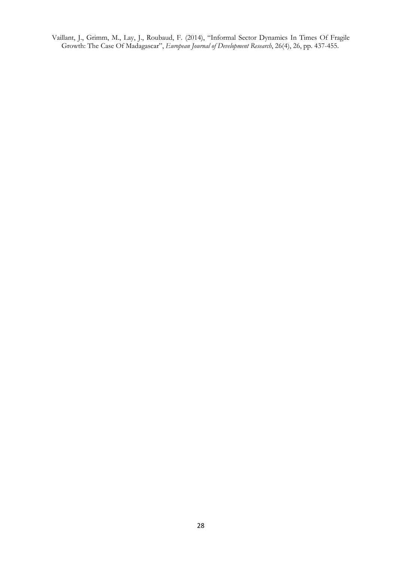Vaillant, J., Grimm, M., Lay, J., Roubaud, F. (2014), "Informal Sector Dynamics In Times Of Fragile Growth: The Case Of Madagascar", *European Journal of Development Research*, 26(4), 26, pp. 437-455.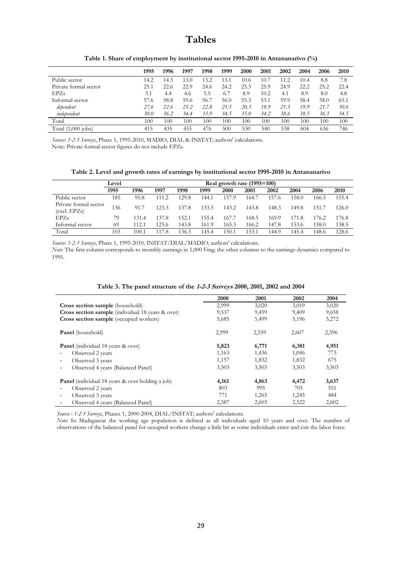## **Tables**

|                                 | 1995        | 1996 | 1997 | 1998 | 1999 | 2000 | 2001 | 2002 | 2004 | 2006 | 2010 |
|---------------------------------|-------------|------|------|------|------|------|------|------|------|------|------|
| Public sector                   | 14.2        | 14.3 | 13.0 | 13.2 | 13.1 | 10.6 | 10.7 | 11.2 | 10.4 | 8.8  | 7.8  |
| Private formal sector           | 25.1        | 22.6 | 22.9 | 24.6 | 24.2 | 25.3 | 25.9 | 24.9 | 22.2 | 25.2 | 22.4 |
| EPZs                            | 3.1         | 4.4  | 4.6  | 5.5  | 6.7  | 8.9  | 10.2 | 4.1  | 8.9  | 8.0  | 4.8  |
| Informal sector                 | 57.6        | 58.8 | 59.6 | 56.7 | 56.0 | 55.3 | 53.1 | 59.9 | 58.4 | 58.0 | 65.1 |
| dependent                       | 27.6        | 22.6 | 25.2 | 22.8 | 21.5 | 20.3 | 18.9 | 21.3 | 19.9 | 21.7 | 30.6 |
| independent                     | <i>30.0</i> | 36.2 | 34.4 | 33.9 | 34.5 | 35.O | 34.2 | 38.6 | 38.5 | 36.3 | 34.5 |
| Total                           | 100         | 100  | 100  | 100  | 100  | 100  | 100  | 100  | 100  | 100  | 100  |
| $(1,000 \text{ jobs})$<br>Total | 415         | 435  | 455  | 476  | 500  | 530  | 540  | 538  | 604  | 636  | 746  |

**Table 1. Share of employment by institutional sector 1995-2010 in Antananarivo (%)** 

*Source*: *1-2-3 Surveys*, Phase 1, 1995-2010, MADIO, DIAL & INSTAT; authors' calculations. Note: Private formal sector figures do not include EPZs.

| Table 2. Level and growth rates of earnings by institutional sector 1995-2010 in Antananarivo |  |  |  |  |  |  |  |  |  |  |  |  |  |  |  |  |
|-----------------------------------------------------------------------------------------------|--|--|--|--|--|--|--|--|--|--|--|--|--|--|--|--|
|-----------------------------------------------------------------------------------------------|--|--|--|--|--|--|--|--|--|--|--|--|--|--|--|--|

|                                       | <b>Level</b> |       |       |       |       |       | Real growth rate (1995=100) |            |       |       |       |
|---------------------------------------|--------------|-------|-------|-------|-------|-------|-----------------------------|------------|-------|-------|-------|
|                                       | 1995         | 1996  | 1997  | 1998  | 1999  | 2000  | 2001                        | 2002       | 2004  | 2006  | 2010  |
| Public sector                         | 185          | 95.8  | 111.2 | 129.8 | 144.1 | 157.9 | 164.7                       | 157<br>- 6 | 158.0 | 166.5 | 155.4 |
| Private formal sector<br>(excl. EPZs) | 136          | 91.7  | 123.3 | 137.8 | 133.5 | 143.2 | 143.8                       | 148.3      | 149.8 | 151.7 | 126.0 |
| EPZs                                  | 79           | 131.4 | 137.8 | 152.1 | 155.4 | 167.7 | 168.5                       | 169.9      | 171.8 | 176.2 | 176.8 |
| Informal sector                       | 69           | .12.1 | 125.6 | 143.8 | 161.9 | 165.3 | 166.2                       | 147.8      | 153.6 | 158.0 | 138.5 |
| Total                                 | 103          | 100.1 | 117.8 | 136.3 | 145.4 | 150.1 | 153.1                       | 144.9      | 145.4 | 148.6 | 128.6 |

*Source*: *1-2-3 Surveys*, Phase 1, 1995-2010, INSTAT/DIAL/MADIO; authors' calculations. *Note*: The first column corresponds to monthly earnings in 1,000 Fmg; the other columns to the earnings dynamics compared to 1995.

| Table 3. The panel structure of the 1-2-3 Surveys 2000, 2001, 2002 and 2004 |  |  |  |
|-----------------------------------------------------------------------------|--|--|--|
|                                                                             |  |  |  |

|                                                          | 2000  | 2001  | 2002  | 2004  |
|----------------------------------------------------------|-------|-------|-------|-------|
| Cross section sample (household)                         | 2,999 | 3,020 | 3,019 | 3,020 |
| <b>Cross section sample</b> (individual 18 years & over) | 9,537 | 9,459 | 9,409 | 9,658 |
| Cross section sample (occupied workers)                  | 5,685 | 5,499 | 5,196 | 5,272 |
| <b>Panel</b> (household)                                 | 2,999 | 2,559 | 2,607 | 2,396 |
| <b>Panel</b> (individual 18 years & over)                | 5,823 | 6,771 | 6,381 | 4,951 |
| Observed 2 years<br>$\overline{\phantom{a}}$             | 1,163 | 1,436 | 1,046 | 773   |
| Observed 3 years<br>$\overline{\phantom{a}}$             | 1,157 | 1,832 | 1,832 | 675   |
| Observed 4 years (Balanced Panel)                        | 3,503 | 3,503 | 3,503 | 3,503 |
| <b>Panel</b> (individual 18 years & over holding a job)  | 4,161 | 4,863 | 4,472 | 3,637 |
| Observed 2 years                                         | 803   | 995   | 705   | 551   |
| Observed 3 years<br>-                                    | 771   | 1,265 | 1,245 | 484   |
| Observed 4 years (Balanced Panel)<br>-                   | 2,587 | 2,603 | 2,522 | 2,602 |

*Source* : *1-2-3 Surveys*, Phases 1, 2000-2004, DIAL/INSTAT; authors' calculations.

*Note*: In Madagascar the working age population is defined as all individuals aged 10 years and over. The number of observations of the balanced panel for occupied workers change a little bit as some individuals enter and exit the labor force.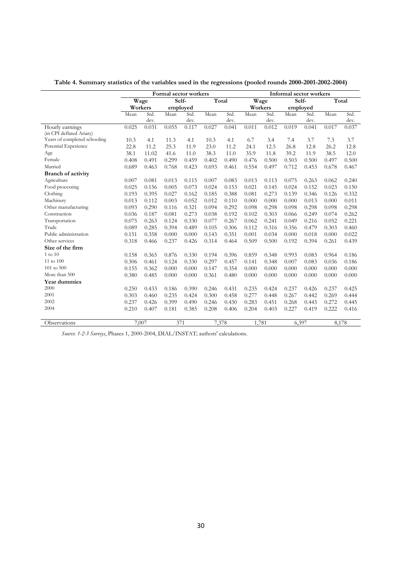|                                             |       |         | Formal sector workers |          |       |       |       |         |       | Informal sector workers |       |       |
|---------------------------------------------|-------|---------|-----------------------|----------|-------|-------|-------|---------|-------|-------------------------|-------|-------|
|                                             |       | Wage    |                       | Self-    |       | Total |       | Wage    |       | Self-                   |       | Total |
|                                             |       | Workers |                       | employed |       |       |       | Workers |       | employed                |       |       |
|                                             | Mean  | Std.    | Mean                  | Std.     | Mean  | Std.  | Mean  | Std.    | Mean  | Std.                    | Mean  | Std.  |
|                                             |       | dev.    |                       | dev.     |       | dev.  |       | dev.    |       | dev.                    |       | dev.  |
| Hourly earnings<br>(in CPI deflated Ariary) | 0.025 | 0.031   | 0.055                 | 0.117    | 0.027 | 0.041 | 0.011 | 0.012   | 0.019 | 0.041                   | 0.017 | 0.037 |
| Years of completed schooling                | 10.3  | 4.1     | 11.3                  | 4.1      | 10.3  | 4.1   | 6.7   | 3.4     | 7.4   | 3.7                     | 7.3   | 3.7   |
| Potential Experience                        | 22.8  | 11.2    | 25.3                  | 11.9     | 23.0  | 11.2  | 24.1  | 12.5    | 26.8  | 12.8                    | 26.2  | 12.8  |
| Age                                         | 38.1  | 11.02   | 41.6                  | 11.0     | 38.3  | 11.0  | 35.9  | 11.8    | 39.2  | 11.9                    | 38.5  | 12.0  |
| Female                                      | 0.408 | 0.491   | 0.299                 | 0.459    | 0.402 | 0.490 | 0.476 | 0.500   | 0.503 | 0.500                   | 0.497 | 0.500 |
| Married                                     | 0.689 | 0.463   | 0.768                 | 0.423    | 0.693 | 0.461 | 0.554 | 0.497   | 0.712 | 0.453                   | 0.678 | 0.467 |
| <b>Branch of activity</b>                   |       |         |                       |          |       |       |       |         |       |                         |       |       |
| Agriculture                                 | 0.007 | 0.081   | 0.013                 | 0.115    | 0.007 | 0.083 | 0.013 | 0.113   | 0.075 | 0.263                   | 0.062 | 0.240 |
| Food processing                             | 0.025 | 0.156   | 0.005                 | 0.073    | 0.024 | 0.153 | 0.021 | 0.145   | 0.024 | 0.152                   | 0.023 | 0.150 |
| Clothing                                    | 0.193 | 0.395   | 0.027                 | 0.162    | 0.185 | 0.388 | 0.081 | 0.273   | 0.139 | 0.346                   | 0.126 | 0.332 |
| Machinery                                   | 0.013 | 0.112   | 0.003                 | 0.052    | 0.012 | 0.110 | 0.000 | 0.000   | 0.000 | 0.013                   | 0.000 | 0.011 |
| Other manufacturing                         | 0.093 | 0.290   | 0.116                 | 0.321    | 0.094 | 0.292 | 0.098 | 0.298   | 0.098 | 0.298                   | 0.098 | 0.298 |
| Construction                                | 0.036 | 0.187   | 0.081                 | 0.273    | 0.038 | 0.192 | 0.102 | 0.303   | 0.066 | 0.249                   | 0.074 | 0.262 |
| Transportation                              | 0.075 | 0.263   | 0.124                 | 0.330    | 0.077 | 0.267 | 0.062 | 0.241   | 0.049 | 0.216                   | 0.052 | 0.221 |
| Trade                                       | 0.089 | 0.285   | 0.394                 | 0.489    | 0.105 | 0.306 | 0.112 | 0.316   | 0.356 | 0.479                   | 0.303 | 0.460 |
| Public administration                       | 0.151 | 0.358   | 0.000                 | 0.000    | 0.143 | 0.351 | 0.001 | 0.034   | 0.000 | 0.018                   | 0.000 | 0.022 |
| Other services                              | 0.318 | 0.466   | 0.237                 | 0.426    | 0.314 | 0.464 | 0.509 | 0.500   | 0.192 | 0.394                   | 0.261 | 0.439 |
| Size of the firm                            |       |         |                       |          |       |       |       |         |       |                         |       |       |
| $1$ to $10$                                 | 0.158 | 0.365   | 0.876                 | 0.330    | 0.194 | 0.396 | 0.859 | 0.348   | 0.993 | 0.083                   | 0.964 | 0.186 |
| 11 to 100                                   | 0.306 | 0.461   | 0.124                 | 0.330    | 0.297 | 0.457 | 0.141 | 0.348   | 0.007 | 0.083                   | 0.036 | 0.186 |
| 101 to 500                                  | 0.155 | 0.362   | 0.000                 | 0.000    | 0.147 | 0.354 | 0.000 | 0.000   | 0.000 | 0.000                   | 0.000 | 0.000 |
| More than 500                               | 0.380 | 0.485   | 0.000                 | 0.000    | 0.361 | 0.480 | 0.000 | 0.000   | 0.000 | 0.000                   | 0.000 | 0.000 |
| Year dummies                                |       |         |                       |          |       |       |       |         |       |                         |       |       |
| 2000                                        | 0.250 | 0.433   | 0.186                 | 0.390    | 0.246 | 0.431 | 0.235 | 0.424   | 0.237 | 0.426                   | 0.237 | 0.425 |
| 2001                                        | 0.303 | 0.460   | 0.235                 | 0.424    | 0.300 | 0.458 | 0.277 | 0.448   | 0.267 | 0.442                   | 0.269 | 0.444 |
| 2002                                        | 0.237 | 0.426   | 0.399                 | 0.490    | 0.246 | 0.430 | 0.283 | 0.451   | 0.268 | 0.443                   | 0.272 | 0.445 |
| 2004                                        | 0.210 | 0.407   | 0.181                 | 0.385    | 0.208 | 0.406 | 0.204 | 0.403   | 0.227 | 0.419                   | 0.222 | 0.416 |
| Observations                                |       | 7,007   | 371                   |          |       | 7,378 | 1,781 |         |       | 6,397                   |       | 8,178 |

**Table 4. Summary statistics of the variables used in the regressions (pooled rounds 2000-2001-2002-2004)** 

*Source*: *1-2-3 Surveys*, Phases 1, 2000-2004, DIAL/INSTAT; authors' calculations.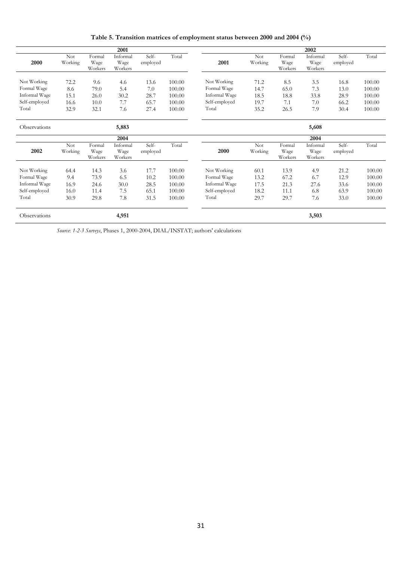|                                                                       |                                     |                                      | 2001                             |                                      |                                                |                                                                       |                                      |                                      | 2002                             |                                      |                                                |
|-----------------------------------------------------------------------|-------------------------------------|--------------------------------------|----------------------------------|--------------------------------------|------------------------------------------------|-----------------------------------------------------------------------|--------------------------------------|--------------------------------------|----------------------------------|--------------------------------------|------------------------------------------------|
| 2000                                                                  | <b>Not</b><br>Working               | Formal<br>Wage<br>Workers            | Informal<br>Wage<br>Workers      | Self-<br>employed                    | Total                                          | 2001                                                                  | <b>Not</b><br>Working                | Formal<br>Wage<br>Workers            | Informal<br>Wage<br>Workers      | Self-<br>employed                    | Total                                          |
| Not Working<br>Formal Wage<br>Informal Wage<br>Self-employed<br>Total | 72.2<br>8.6<br>15.1<br>16.6<br>32.9 | 9.6<br>79.0<br>26.0<br>10.0<br>32.1  | 4.6<br>5.4<br>30.2<br>7.7<br>7.6 | 13.6<br>7.0<br>28.7<br>65.7<br>27.4  | 100.00<br>100.00<br>100.00<br>100.00<br>100.00 | Not Working<br>Formal Wage<br>Informal Wage<br>Self-employed<br>Total | 71.2<br>14.7<br>18.5<br>19.7<br>35.2 | 8.5<br>65.0<br>18.8<br>7.1<br>26.5   | 3.5<br>7.3<br>33.8<br>7.0<br>7.9 | 16.8<br>13.0<br>28.9<br>66.2<br>30.4 | 100.00<br>100.00<br>100.00<br>100.00<br>100.00 |
| Observations                                                          |                                     |                                      | 5,883                            |                                      |                                                |                                                                       |                                      |                                      | 5,608                            |                                      |                                                |
|                                                                       |                                     |                                      | 2004                             |                                      |                                                |                                                                       |                                      |                                      | 2004                             |                                      |                                                |
| 2002                                                                  | <b>Not</b><br>Working               | Formal<br>Wage<br>Workers            | Informal<br>Wage<br>Workers      | Self-<br>employed                    | Total                                          | 2000                                                                  | <b>Not</b><br>Working                | Formal<br>Wage<br>Workers            | Informal<br>Wage<br>Workers      | Self-<br>employed                    | Total                                          |
| Not Working<br>Formal Wage<br>Informal Wage<br>Self-employed<br>Total | 64.4<br>9.4<br>16.9<br>16.0<br>30.9 | 14.3<br>73.9<br>24.6<br>11.4<br>29.8 | 3.6<br>6.5<br>30.0<br>7.5<br>7.8 | 17.7<br>10.2<br>28.5<br>65.1<br>31.5 | 100.00<br>100.00<br>100.00<br>100.00<br>100.00 | Not Working<br>Formal Wage<br>Informal Wage<br>Self-employed<br>Total | 60.1<br>13.2<br>17.5<br>18.2<br>29.7 | 13.9<br>67.2<br>21.3<br>11.1<br>29.7 | 4.9<br>6.7<br>27.6<br>6.8<br>7.6 | 21.2<br>12.9<br>33.6<br>63.9<br>33.0 | 100.00<br>100.00<br>100.00<br>100.00<br>100.00 |
| Observations                                                          |                                     |                                      | 4,951                            |                                      |                                                |                                                                       |                                      |                                      | 3,503                            |                                      |                                                |

| Table 5. Transition matrices of employment status between 2000 and 2004 (%) |  |  |
|-----------------------------------------------------------------------------|--|--|
|-----------------------------------------------------------------------------|--|--|

*Source*: *1-2-3 Surveys*, Phases 1, 2000-2004, DIAL/INSTAT; authors' calculations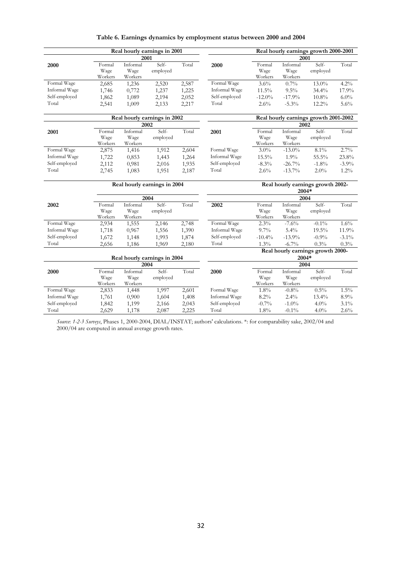|                        |                |                | Real hourly earnings in 2001 |                |                        | Real hourly earnings growth 2000-2001 |                      |                                       |                 |  |  |
|------------------------|----------------|----------------|------------------------------|----------------|------------------------|---------------------------------------|----------------------|---------------------------------------|-----------------|--|--|
|                        |                | 2001           |                              |                |                        |                                       | 2001                 |                                       |                 |  |  |
| 2000                   | Formal         | Informal       | Self-                        | Total          | 2000                   | Formal                                | Informal             | Self-                                 | Total           |  |  |
|                        | Wage           | Wage           | employed                     |                |                        | Wage                                  | Wage                 | employed                              |                 |  |  |
|                        | Workers        | Workers        |                              |                |                        | Workers                               | Workers              |                                       |                 |  |  |
| Formal Wage            | 2,685          | 1,236          | 2,520                        | 2,587          | Formal Wage            | 3.6%                                  | 0.7%                 | 13.0%                                 | 4.2%            |  |  |
| Informal Wage          | 1,746          | 0,772          | 1,237                        | 1,225          | Informal Wage          | 11.5%                                 | 9.5%                 | $34.4\%$                              | 17.9%           |  |  |
| Self-employed          | 1,862          | 1,089          | 2,194                        | 2,052          | Self-employed          | $-12.0\%$                             | $-17.9%$             | 10.8%                                 | $6.0\%$         |  |  |
| Total                  | 2,541          | 1,009          | 2,133                        | 2,217          | Total                  | 2.6%                                  | $-5.3%$              | 12.2%                                 | 5.6%            |  |  |
|                        |                |                | Real hourly earnings in 2002 |                |                        |                                       |                      | Real hourly earnings growth 2001-2002 |                 |  |  |
|                        |                |                | 2002                         |                |                        |                                       | 2002                 |                                       |                 |  |  |
| 2001                   | Formal         | Informal       | Self-                        | Total          | 2001                   | Formal                                | Informal             | Self-                                 | Total           |  |  |
|                        | Wage           | Wage           | employed                     |                |                        | Wage                                  | Wage                 | employed                              |                 |  |  |
|                        | Workers        | Workers        |                              |                |                        | Workers                               | Workers              |                                       |                 |  |  |
| Formal Wage            | 2,875          | 1,416          | 1,912                        | 2,604          | Formal Wage            | $3.0\%$                               | $-13.0%$             | 8.1%                                  | 2.7%            |  |  |
| Informal Wage          | 1,722          | 0,853          | 1,443                        | 1,264          | Informal Wage          | $15.5\%$                              | 1.9%                 | 55.5%                                 | 23.8%           |  |  |
| Self-employed          | 2,112          | 0,981          | 2,016                        | 1,935          | Self-employed          | $-8.3\%$                              | $-26.7%$             | $-1.8%$                               | $-3.9%$         |  |  |
| Total                  | 2,745          | 1,083          | 1,951                        | 2,187          | Total                  | 2.6%                                  | $-13.7\%$            | 2.0%                                  | $1.2\%$         |  |  |
|                        |                |                |                              |                |                        |                                       |                      |                                       |                 |  |  |
|                        |                |                | Real hourly earnings in 2004 |                |                        |                                       |                      | Real hourly earnings growth 2002-     |                 |  |  |
|                        |                |                |                              |                |                        |                                       | 2004*                |                                       |                 |  |  |
|                        |                |                | 2004                         |                |                        |                                       | 2004                 |                                       |                 |  |  |
| 2002                   | Formal         | Informal       | Self-                        | Total          | 2002                   | Formal                                | Informal             | Self-                                 | Total           |  |  |
|                        | Wage           | Wage           | employed                     |                |                        | Wage                                  | Wage                 | employed                              |                 |  |  |
|                        | Workers        | Workers        |                              |                |                        | Workers                               | Workers              |                                       |                 |  |  |
| Formal Wage            | 2,934          | 1,555          | 2,146                        | 2,748          | Formal Wage            | 2.3%                                  | $-7.6%$              | $-0.1\%$                              | 1.6%            |  |  |
| Informal Wage          | 1,718          | 0,967          | 1,556                        | 1,390          | Informal Wage          | $9.7\%$                               | $5.4\%$              | 19.5%                                 | 11.9%           |  |  |
| Self-employed          | 1,672          | 1,148          | 1,993                        | 1,874          | Self-employed          | $-10.4%$                              | $-13.9%$             | $-0.9\%$                              | $-3.1\%$        |  |  |
| Total                  | 2,656          | 1,186          | 1,969                        | 2,180          | Total                  | 1.3%                                  | $-6.7\%$             | 0.3%                                  | 0.3%            |  |  |
|                        |                |                |                              |                |                        |                                       |                      | Real hourly earnings growth 2000-     |                 |  |  |
|                        |                |                | Real hourly earnings in 2004 |                |                        |                                       | 2004*                |                                       |                 |  |  |
|                        |                |                | 2004                         |                |                        |                                       | 2004                 |                                       |                 |  |  |
| 2000                   | Formal         | Informal       | Self-                        | Total          | 2000                   | Formal                                | Informal             | Self-                                 | Total           |  |  |
|                        | Wage           | Wage           | employed                     |                |                        | Wage                                  | Wage                 | employed                              |                 |  |  |
|                        | Workers        | Workers        |                              |                |                        | Workers                               | Workers              |                                       |                 |  |  |
| Formal Wage            | 2,833          | 1,448          | 1,997                        | 2,601          | Formal Wage            | 1.8%                                  | $-0.8%$              | 0.5%                                  | $1.5\%$         |  |  |
| Informal Wage          | 1,761          | 0,900          | 1,604                        | 1,408          | Informal Wage          | 8.2%                                  | 2.4%                 | $13.4\%$                              | 8.9%            |  |  |
| Self-employed<br>Total | 1,842<br>2,629 | 1,199<br>1,178 | 2,166<br>2,087               | 2,043<br>2,225 | Self-employed<br>Total | $-0.7%$<br>1.8%                       | $-1.0\%$<br>$-0.1\%$ | 4.0%<br>4.0%                          | $3.1\%$<br>2.6% |  |  |

**Table 6. Earnings dynamics by employment status between 2000 and 2004**

*Source*: *1-2-3 Surveys*, Phases 1, 2000-2004, DIAL/INSTAT; authors' calculations. \*: for comparability sake, 2002/04 and 2000/04 are computed in annual average growth rates.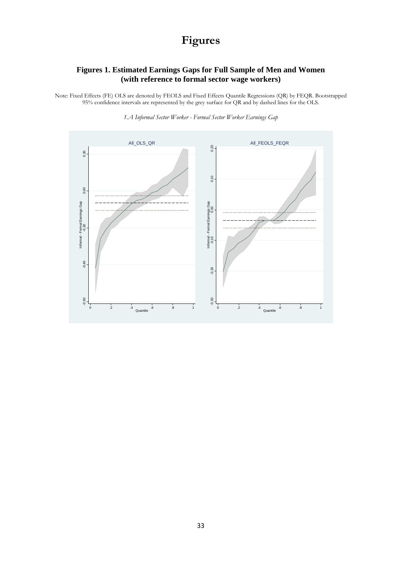## **Figures**

#### **Figures 1. Estimated Earnings Gaps for Full Sample of Men and Women (with reference to formal sector wage workers)**

Note: Fixed Effects (FE) OLS are denoted by FEOLS and Fixed Effects Quantile Regressions (QR) by FEQR. Bootstrapped 95% confidence intervals are represented by the grey surface for QR and by dashed lines for the OLS.



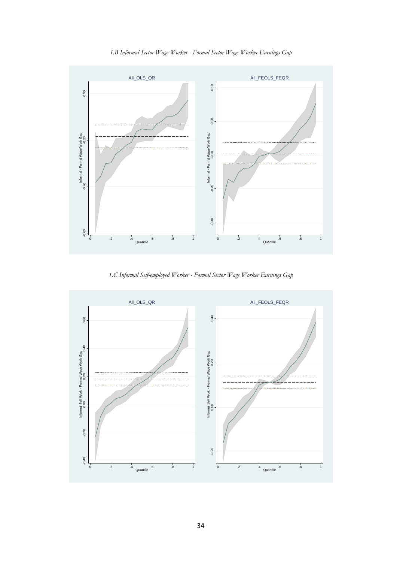*1.B Informal Sector Wage Worker - Formal Sector Wage Worker Earnings Gap* 



*1.C Informal Self-employed Worker - Formal Sector Wage Worker Earnings Gap* 

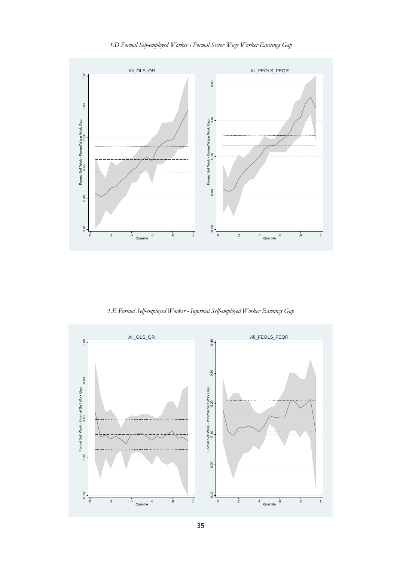*1.D Formal Self-employed Worker - Formal Sector Wage Worker Earnings Gap* 



*1.E Formal Self-employed Worker - Informal Self-employed Worker Earnings Gap* 

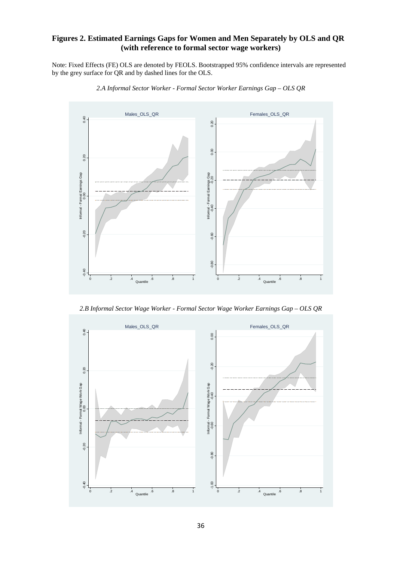#### **Figures 2. Estimated Earnings Gaps for Women and Men Separately by OLS and QR (with reference to formal sector wage workers)**

Note: Fixed Effects (FE) OLS are denoted by FEOLS. Bootstrapped 95% confidence intervals are represented by the grey surface for QR and by dashed lines for the OLS.



*2.A Informal Sector Worker - Formal Sector Worker Earnings Gap – OLS QR* 

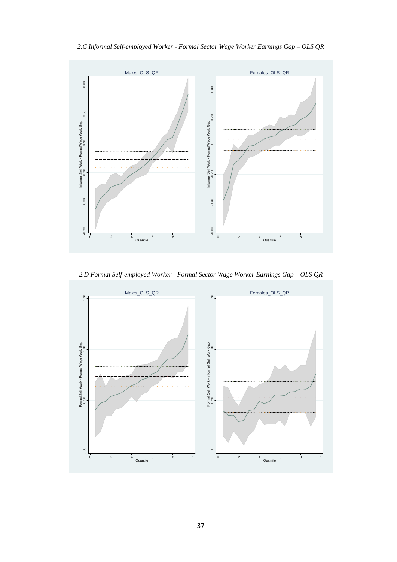

*2.C Informal Self-employed Worker - Formal Sector Wage Worker Earnings Gap – OLS QR* 

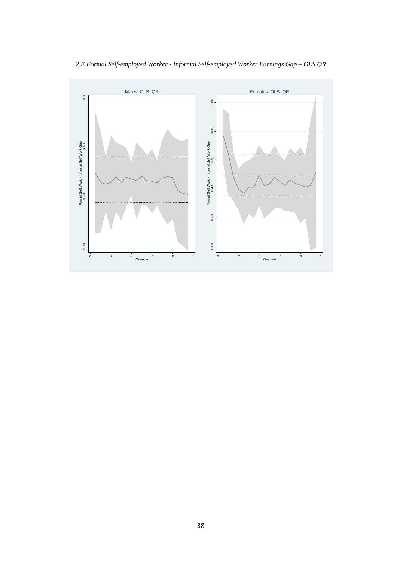

*2.E Formal Self-employed Worker - Informal Self-employed Worker Earnings Gap – OLS QR*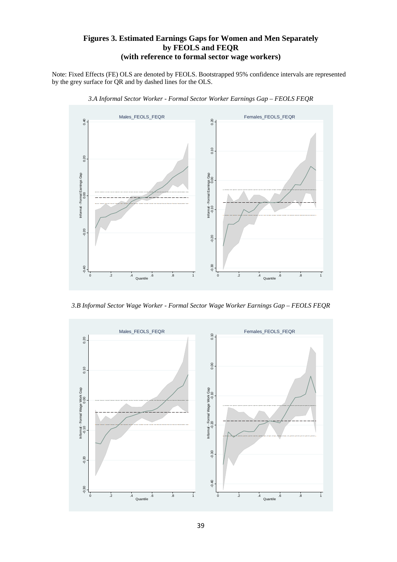#### **Figures 3. Estimated Earnings Gaps for Women and Men Separately by FEOLS and FEQR (with reference to formal sector wage workers)**

Note: Fixed Effects (FE) OLS are denoted by FEOLS. Bootstrapped 95% confidence intervals are represented by the grey surface for QR and by dashed lines for the OLS.



*3.A Informal Sector Worker - Formal Sector Worker Earnings Gap – FEOLS FEQR* 

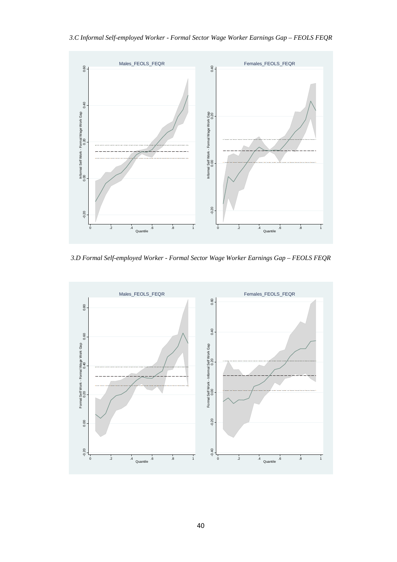

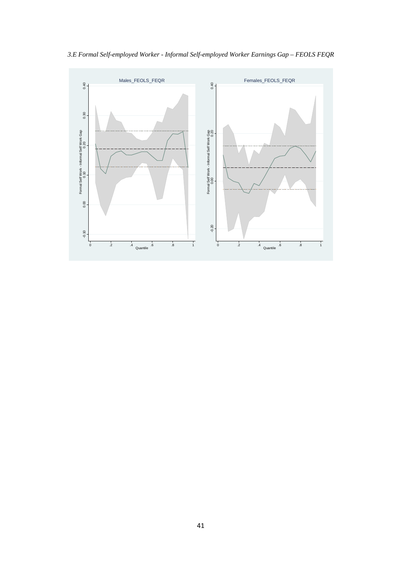

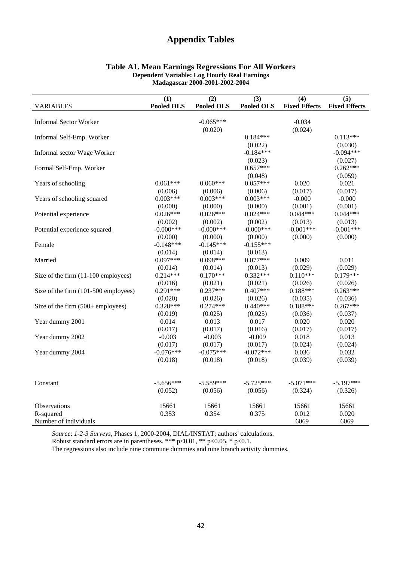## **Appendix Tables**

|                                      | (1)               | (2)               | (3)               | (4)                  | (5)                  |
|--------------------------------------|-------------------|-------------------|-------------------|----------------------|----------------------|
| <b>VARIABLES</b>                     | <b>Pooled OLS</b> | <b>Pooled OLS</b> | <b>Pooled OLS</b> | <b>Fixed Effects</b> | <b>Fixed Effects</b> |
|                                      |                   |                   |                   |                      |                      |
| <b>Informal Sector Worker</b>        |                   | $-0.065***$       |                   | $-0.034$             |                      |
|                                      |                   | (0.020)           |                   | (0.024)              |                      |
| Informal Self-Emp. Worker            |                   |                   | $0.184***$        |                      | $0.113***$           |
|                                      |                   |                   | (0.022)           |                      | (0.030)              |
| Informal sector Wage Worker          |                   |                   | $-0.184***$       |                      | $-0.094***$          |
|                                      |                   |                   | (0.023)           |                      | (0.027)              |
| Formal Self-Emp. Worker              |                   |                   | $0.657***$        |                      | $0.262***$           |
|                                      |                   |                   | (0.048)           |                      | (0.059)              |
| Years of schooling                   | $0.061***$        | $0.060***$        | $0.057***$        | 0.020                | 0.021                |
|                                      | (0.006)           | (0.006)           | (0.006)           | (0.017)              | (0.017)              |
| Years of schooling squared           | $0.003***$        | $0.003***$        | $0.003***$        | $-0.000$             | $-0.000$             |
|                                      | (0.000)           | (0.000)           | (0.000)           | (0.001)              | (0.001)              |
| Potential experience                 | $0.026***$        | $0.026***$        | $0.024***$        | $0.044***$           | $0.044***$           |
|                                      | (0.002)           | (0.002)           | (0.002)           | (0.013)              | (0.013)              |
| Potential experience squared         | $-0.000$ ***      | $-0.000$ ***      | $-0.000$ ***      | $-0.001***$          | $-0.001***$          |
|                                      | (0.000)           | (0.000)           | (0.000)           | (0.000)              | (0.000)              |
| Female                               | $-0.148***$       | $-0.145***$       | $-0.155***$       |                      |                      |
|                                      | (0.014)           | (0.014)           | (0.013)           |                      |                      |
| Married                              | $0.097***$        | $0.098***$        | $0.077***$        | 0.009                | 0.011                |
|                                      | (0.014)           | (0.014)           | (0.013)           | (0.029)              | (0.029)              |
| Size of the firm (11-100 employees)  | $0.214***$        | $0.170***$        | $0.332***$        | $0.110***$           | $0.179***$           |
|                                      | (0.016)           | (0.021)           | (0.021)           | (0.026)              | (0.026)              |
| Size of the firm (101-500 employees) | $0.291***$        | $0.237***$        | $0.407***$        | $0.188***$           | $0.263***$           |
|                                      | (0.020)           | (0.026)           | (0.026)           | (0.035)              | (0.036)              |
| Size of the firm $(500+$ employees)  | $0.328***$        | $0.274***$        | $0.440***$        | $0.188***$           | $0.267***$           |
|                                      | (0.019)           | (0.025)           | (0.025)           | (0.036)              | (0.037)              |
| Year dummy 2001                      | 0.014             | 0.013             | 0.017             | 0.020                | 0.020                |
|                                      | (0.017)           | (0.017)           | (0.016)           | (0.017)              | (0.017)              |
| Year dummy 2002                      | $-0.003$          | $-0.003$          | $-0.009$          | 0.018                | 0.013                |
|                                      | (0.017)           | (0.017)           | (0.017)           | (0.024)              | (0.024)              |
| Year dummy 2004                      | $-0.076***$       | $-0.075***$       | $-0.072***$       | 0.036                | 0.032                |
|                                      | (0.018)           | (0.018)           | (0.018)           | (0.039)              | (0.039)              |
| Constant                             | $-5.656***$       | $-5.589***$       | $-5.725***$       | $-5.071***$          | $-5.197***$          |
|                                      | (0.052)           | (0.056)           | (0.056)           | (0.324)              | (0.326)              |
| Observations                         | 15661             | 15661             | 15661             | 15661                | 15661                |
| R-squared                            | 0.353             | 0.354             | 0.375             | 0.012                | 0.020                |
| Number of individuals                |                   |                   |                   | 6069                 | 6069                 |

#### **Table A1. Mean Earnings Regressions For All Workers Dependent Variable: Log Hourly Real Earnings Madagascar 2000-2001-2002-2004**

*Source*: *1-2-3 Surveys*, Phases 1, 2000-2004, DIAL/INSTAT; authors' calculations.

Robust standard errors are in parentheses. \*\*\*  $p<0.01$ , \*\*  $p<0.05$ , \*  $p<0.1$ .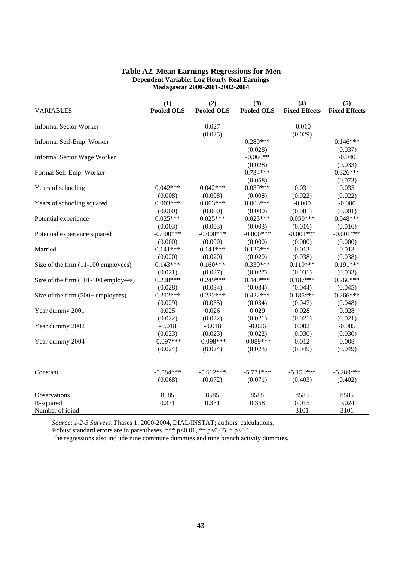|                                      | (1)               | (2)               | (3)               | (4)                  | (5)                  |
|--------------------------------------|-------------------|-------------------|-------------------|----------------------|----------------------|
| <b>VARIABLES</b>                     | <b>Pooled OLS</b> | <b>Pooled OLS</b> | <b>Pooled OLS</b> | <b>Fixed Effects</b> | <b>Fixed Effects</b> |
|                                      |                   |                   |                   |                      |                      |
| <b>Informal Sector Worker</b>        |                   | 0.027             |                   | $-0.010$             |                      |
|                                      |                   | (0.025)           |                   | (0.029)              |                      |
| Informal Self-Emp. Worker            |                   |                   | $0.289***$        |                      | $0.146***$           |
|                                      |                   |                   | (0.028)           |                      | (0.037)              |
| <b>Informal Sector Wage Worker</b>   |                   |                   | $-0.060**$        |                      | $-0.040$             |
|                                      |                   |                   | (0.028)           |                      | (0.033)              |
| Formal Self-Emp. Worker              |                   |                   | $0.734***$        |                      | $0.326***$           |
|                                      |                   |                   | (0.058)           |                      | (0.073)              |
| Years of schooling                   | $0.042***$        | $0.042***$        | $0.039***$        | 0.031                | 0.033                |
|                                      | (0.008)           | (0.008)           | (0.008)           | (0.022)              | (0.022)              |
| Years of schooling squared           | $0.003***$        | $0.003***$        | $0.003***$        | $-0.000$             | $-0.000$             |
|                                      | (0.000)           | (0.000)           | (0.000)           | (0.001)              | (0.001)              |
| Potential experience                 | $0.025***$        | $0.025***$        | $0.023***$        | $0.050***$           | $0.048***$           |
|                                      | (0.003)           | (0.003)           | (0.003)           | (0.016)              | (0.016)              |
| Potential experience squared         | $-0.000***$       | $-0.000***$       | $-0.000$ ***      | $-0.001***$          | $-0.001***$          |
|                                      | (0.000)           | (0.000)           | (0.000)           | (0.000)              | (0.000)              |
| Married                              | $0.141***$        | $0.141***$        | $0.125***$        | 0.013                | 0.013                |
|                                      | (0.020)           | (0.020)           | (0.020)           | (0.038)              | (0.038)              |
| Size of the firm (11-100 employees)  | $0.143***$        | $0.160***$        | $0.339***$        | $0.119***$           | $0.191***$           |
|                                      | (0.021)           | (0.027)           | (0.027)           | (0.031)              | (0.033)              |
| Size of the firm (101-500 employees) | $0.228***$        | $0.249***$        | $0.440***$        | $0.187***$           | $0.266***$           |
|                                      | (0.028)           | (0.034)           | (0.034)           | (0.044)              | (0.045)              |
| Size of the firm $(500+$ employees)  | $0.212***$        | $0.232***$        | $0.422***$        | $0.185***$           | $0.266***$           |
|                                      | (0.029)           | (0.035)           | (0.034)           | (0.047)              | (0.048)              |
| Year dummy 2001                      | 0.025             | 0.026             | 0.029             | 0.028                | 0.028                |
|                                      | (0.022)           | (0.022)           | (0.021)           | (0.021)              | (0.021)              |
| Year dummy 2002                      | $-0.018$          | $-0.018$          | $-0.026$          | 0.002                | $-0.005$             |
|                                      | (0.023)           | (0.023)           | (0.022)           | (0.030)              | (0.030)              |
| Year dummy 2004                      | $-0.097***$       | $-0.098***$       | $-0.089***$       | 0.012                | 0.008                |
|                                      | (0.024)           | (0.024)           | (0.023)           | (0.049)              | (0.049)              |
|                                      |                   |                   |                   |                      |                      |
|                                      |                   |                   |                   |                      |                      |
| Constant                             | $-5.584***$       | $-5.612***$       | $-5.771***$       | $-5.158***$          | $-5.289***$          |
|                                      | (0.068)           | (0.072)           | (0.071)           | (0.403)              | (0.402)              |
| Observations                         | 8585              | 8585              | 8585              | 8585                 | 8585                 |
| R-squared                            | 0.331             | 0.331             | 0.358             | 0.015                | 0.024                |
| Number of idind                      |                   |                   |                   | 3101                 | 3101                 |

#### **Table A2. Mean Earnings Regressions for Men Dependent Variable: Log Hourly Real Earnings Madagascar 2000-2001-2002-2004**

*Source*: *1-2-3 Surveys*, Phases 1, 2000-2004, DIAL/INSTAT; authors' calculations.

Robust standard errors are in parentheses. \*\*\*  $p<0.01$ , \*\*  $p<0.05$ , \*  $p<0.1$ .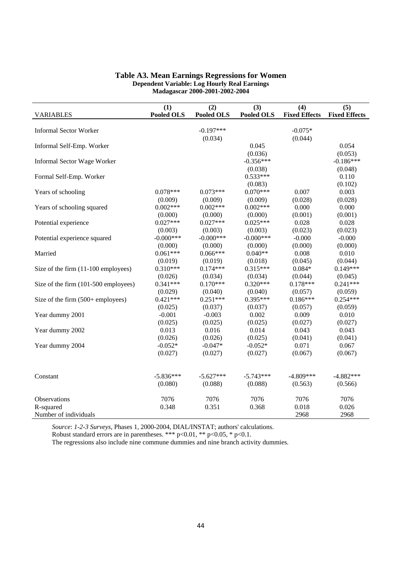| <b>Table A3. Mean Earnings Regressions for Women</b> |
|------------------------------------------------------|
| <b>Dependent Variable: Log Hourly Real Earnings</b>  |
| Madagascar 2000-2001-2002-2004                       |

|                                      | (1)               | (2)               | (3)               | (4)                  | (5)                  |
|--------------------------------------|-------------------|-------------------|-------------------|----------------------|----------------------|
| <b>VARIABLES</b>                     | <b>Pooled OLS</b> | <b>Pooled OLS</b> | <b>Pooled OLS</b> | <b>Fixed Effects</b> | <b>Fixed Effects</b> |
|                                      |                   |                   |                   |                      |                      |
| <b>Informal Sector Worker</b>        |                   | $-0.197***$       |                   | $-0.075*$            |                      |
|                                      |                   | (0.034)           |                   | (0.044)              |                      |
| Informal Self-Emp. Worker            |                   |                   | 0.045             |                      | 0.054                |
|                                      |                   |                   | (0.036)           |                      | (0.053)              |
| <b>Informal Sector Wage Worker</b>   |                   |                   | $-0.356***$       |                      | $-0.186***$          |
|                                      |                   |                   | (0.038)           |                      | (0.048)              |
| Formal Self-Emp. Worker              |                   |                   | $0.533***$        |                      | 0.110                |
|                                      |                   |                   | (0.083)           |                      | (0.102)              |
| Years of schooling                   | $0.078***$        | $0.073***$        | $0.070***$        | 0.007                | 0.003                |
|                                      | (0.009)           | (0.009)           | (0.009)           | (0.028)              | (0.028)              |
| Years of schooling squared           | $0.002***$        | $0.002***$        | $0.002***$        | 0.000                | 0.000                |
|                                      | (0.000)           | (0.000)           | (0.000)           | (0.001)              | (0.001)              |
| Potential experience                 | $0.027***$        | $0.027***$        | $0.025***$        | 0.028                | 0.028                |
|                                      | (0.003)           | (0.003)           | (0.003)           | (0.023)              | (0.023)              |
| Potential experience squared         | $-0.000$ ***      | $-0.000$ ***      | $-0.000$ ***      | $-0.000$             | $-0.000$             |
|                                      | (0.000)           | (0.000)           | (0.000)           | (0.000)              | (0.000)              |
| Married                              | $0.061***$        | $0.066***$        | $0.040**$         | 0.008                | 0.010                |
|                                      | (0.019)           | (0.019)           | (0.018)           | (0.045)              | (0.044)              |
| Size of the firm (11-100 employees)  | $0.310***$        | $0.174***$        | $0.315***$        | $0.084*$             | $0.149***$           |
|                                      | (0.026)           | (0.034)           | (0.034)           | (0.044)              | (0.045)              |
| Size of the firm (101-500 employees) | $0.341***$        | $0.170***$        | $0.320***$        | $0.178***$           | $0.241***$           |
|                                      | (0.029)           | (0.040)           | (0.040)           | (0.057)              | (0.059)              |
| Size of the firm $(500 +$ employees) | $0.421***$        | $0.251***$        | $0.395***$        | $0.186***$           | $0.254***$           |
|                                      | (0.025)           | (0.037)           | (0.037)           | (0.057)              | (0.059)              |
| Year dummy 2001                      | $-0.001$          | $-0.003$          | 0.002             | 0.009                | 0.010                |
|                                      | (0.025)           | (0.025)           | (0.025)           | (0.027)              | (0.027)              |
| Year dummy 2002                      | 0.013             | 0.016             | 0.014             | 0.043                | 0.043                |
|                                      | (0.026)           | (0.026)           | (0.025)           | (0.041)              | (0.041)              |
| Year dummy 2004                      | $-0.052*$         | $-0.047*$         | $-0.052*$         | 0.071                | 0.067                |
|                                      | (0.027)           | (0.027)           | (0.027)           | (0.067)              | (0.067)              |
|                                      |                   |                   |                   |                      |                      |
|                                      |                   |                   |                   |                      |                      |
| Constant                             | $-5.836***$       | $-5.627***$       | $-5.743***$       | $-4.809***$          | $-4.882***$          |
|                                      | (0.080)           | (0.088)           | (0.088)           | (0.563)              | (0.566)              |
|                                      | 7076              | 7076              | 7076              | 7076                 | 7076                 |
| Observations<br>R-squared            | 0.348             | 0.351             | 0.368             | 0.018                | 0.026                |
| Number of individuals                |                   |                   |                   | 2968                 | 2968                 |
|                                      |                   |                   |                   |                      |                      |

*Source*: *1-2-3 Surveys*, Phases 1, 2000-2004, DIAL/INSTAT; authors' calculations.

Robust standard errors are in parentheses. \*\*\*  $p<0.01$ , \*\*  $p<0.05$ , \*  $p<0.1$ .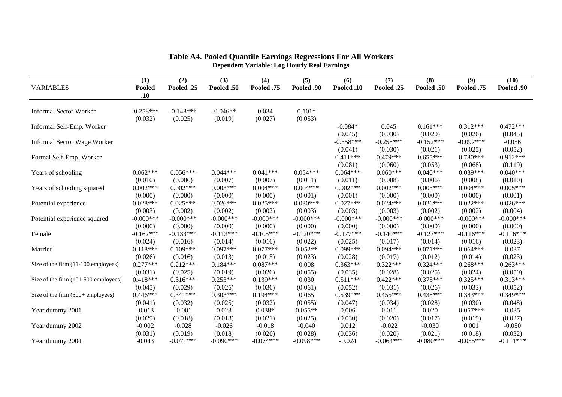| <b>VARIABLES</b>                             | (1)<br><b>Pooled</b><br>.10 | (2)<br>Pooled .25     | (3)<br>Pooled .50     | (4)<br>Pooled .75     | (5)<br>Pooled .90    | (6)<br>Pooled .10     | (7)<br>Pooled .25     | (8)<br>Pooled .50     | (9)<br>Pooled .75     | (10)<br>Pooled .90    |
|----------------------------------------------|-----------------------------|-----------------------|-----------------------|-----------------------|----------------------|-----------------------|-----------------------|-----------------------|-----------------------|-----------------------|
|                                              |                             |                       |                       |                       |                      |                       |                       |                       |                       |                       |
| <b>Informal Sector Worker</b>                | $-0.258***$                 | $-0.148***$           | $-0.046**$            | 0.034                 | $0.101*$             |                       |                       |                       |                       |                       |
|                                              | (0.032)                     | (0.025)               | (0.019)               | (0.027)               | (0.053)              |                       |                       |                       |                       |                       |
| Informal Self-Emp. Worker                    |                             |                       |                       |                       |                      | $-0.084*$             | 0.045                 | $0.161***$            | $0.312***$            | $0.472***$            |
|                                              |                             |                       |                       |                       |                      | (0.045)               | (0.030)               | (0.020)               | (0.026)               | (0.045)               |
| <b>Informal Sector Wage Worker</b>           |                             |                       |                       |                       |                      | $-0.358***$           | $-0.258***$           | $-0.152***$           | $-0.097***$           | $-0.056$              |
|                                              |                             |                       |                       |                       |                      | (0.041)               | (0.030)               | (0.021)               | (0.025)               | (0.052)               |
| Formal Self-Emp. Worker                      |                             |                       |                       |                       |                      | $0.411***$            | $0.479***$            | $0.655***$            | $0.780***$            | $0.912***$            |
|                                              |                             |                       |                       |                       |                      | (0.081)               | (0.060)               | (0.053)               | (0.068)               | (0.119)               |
| Years of schooling                           | $0.062***$                  | $0.056***$            | $0.044***$            | $0.041***$            | $0.054***$           | $0.064***$            | $0.060***$            | $0.040***$            | $0.039***$            | $0.040***$            |
|                                              | (0.010)                     | (0.006)               | (0.007)               | (0.007)               | (0.011)              | (0.011)               | (0.008)               | (0.006)               | (0.008)               | (0.010)               |
| Years of schooling squared                   | $0.002***$                  | $0.002***$            | $0.003***$            | $0.004***$            | $0.004***$           | $0.002***$            | $0.002***$            | $0.003***$            | $0.004***$            | $0.005***$            |
|                                              | (0.000)                     | (0.000)               | (0.000)               | (0.000)               | (0.001)              | (0.001)               | (0.000)               | (0.000)               | (0.000)               | (0.001)               |
| Potential experience                         | $0.028***$                  | $0.025***$            | $0.026***$            | $0.025***$            | $0.030***$           | $0.027***$            | $0.024***$            | $0.026***$            | $0.022***$            | $0.026***$            |
|                                              | (0.003)                     | (0.002)               | (0.002)               | (0.002)               | (0.003)              | (0.003)               | (0.003)               | (0.002)               | (0.002)               | (0.004)               |
| Potential experience squared                 | $-0.000***$                 | $-0.000$ ***          | $-0.000$ ***          | $-0.000$ ***          | $-0.000$ ***         | $-0.000$ ***          | $-0.000***$           | $-0.000$ ***          | $-0.000***$           | $-0.000$ ***          |
|                                              | (0.000)                     | (0.000)               | (0.000)               | (0.000)               | (0.000)              | (0.000)               | (0.000)               | (0.000)               | (0.000)               | (0.000)               |
| Female                                       | $-0.162***$                 | $-0.133***$           | $-0.113***$           | $-0.105***$           | $-0.120***$          | $-0.177***$           | $-0.140***$           | $-0.127***$           | $-0.116***$           | $-0.116***$           |
|                                              | (0.024)                     | (0.016)               | (0.014)               | (0.016)               | (0.022)              | (0.025)               | (0.017)               | (0.014)               | (0.016)               | (0.023)               |
| Married                                      | $0.118***$                  | $0.109***$            | $0.097***$            | $0.077***$            | $0.052**$            | $0.099***$            | $0.094***$            | $0.071***$            | $0.064***$            | 0.037                 |
|                                              | (0.026)                     | (0.016)               | (0.013)               | (0.015)               | (0.023)              | (0.028)               | (0.017)               | (0.012)               | (0.014)               | (0.023)               |
| Size of the firm (11-100 employees)          | $0.277***$                  | $0.212***$            | $0.184***$            | $0.087***$            | 0.008                | $0.363***$            | $0.322***$            | $0.324***$            | $0.268***$            | $0.263***$            |
| Size of the firm (101-500 employees)         | (0.031)                     | (0.025)               | (0.019)               | (0.026)               | (0.055)              | (0.035)               | (0.028)               | (0.025)<br>$0.375***$ | (0.024)               | (0.050)               |
|                                              | $0.418***$                  | $0.316***$            | $0.253***$            | $0.139***$            | 0.030                | $0.511***$            | $0.422***$            |                       | $0.325***$            | $0.313***$            |
| Size of the firm $(500 + \text{ employees})$ | (0.045)<br>$0.446***$       | (0.029)<br>$0.341***$ | (0.026)<br>$0.303***$ | (0.036)<br>$0.194***$ | (0.061)<br>0.065     | (0.052)<br>$0.539***$ | (0.031)<br>$0.455***$ | (0.026)<br>$0.438***$ | (0.033)<br>$0.383***$ | (0.052)<br>$0.349***$ |
|                                              |                             |                       |                       |                       |                      |                       |                       |                       |                       |                       |
|                                              | (0.041)                     | (0.032)               | (0.025)<br>0.023      | (0.032)<br>$0.038*$   | (0.055)<br>$0.055**$ | (0.047)               | (0.034)<br>0.011      | (0.028)<br>0.020      | (0.030)<br>$0.057***$ | (0.048)<br>0.035      |
| Year dummy 2001                              | $-0.013$                    | $-0.001$              |                       |                       |                      | 0.006                 |                       |                       |                       |                       |
|                                              | (0.029)<br>$-0.002$         | (0.018)<br>$-0.028$   | (0.018)<br>$-0.026$   | (0.021)<br>$-0.018$   | (0.025)<br>$-0.040$  | (0.030)<br>0.012      | (0.020)<br>$-0.022$   | (0.017)<br>$-0.030$   | (0.019)<br>0.001      | (0.027)<br>$-0.050$   |
| Year dummy 2002                              | (0.031)                     | (0.019)               | (0.018)               | (0.020)               | (0.028)              | (0.036)               | (0.020)               | (0.021)               | (0.018)               | (0.032)               |
|                                              |                             |                       |                       |                       |                      |                       |                       |                       |                       |                       |
| Year dummy 2004                              | $-0.043$                    | $-0.071***$           | $-0.090***$           | $-0.074***$           | $-0.098***$          | $-0.024$              | $-0.064***$           | $-0.080***$           | $-0.055***$           | $-0.111***$           |

#### **Table A4. Pooled Quantile Earnings Regressions For All Workers Dependent Variable: Log Hourly Real Earnings**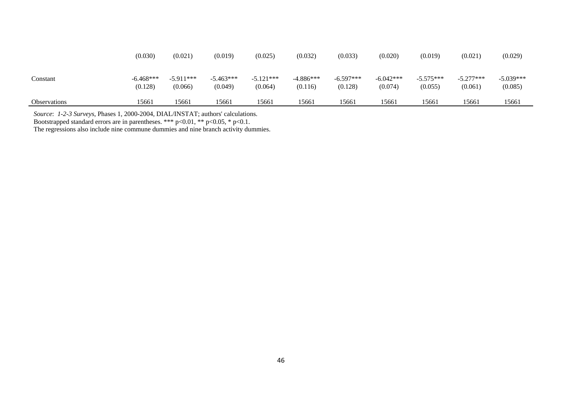|              | (0.030)     | (0.021)     | (0.019)     | (0.025)     | (0.032)     | (0.033)     | (0.020)     | (0.019)     | (0.021)     | (0.029)     |
|--------------|-------------|-------------|-------------|-------------|-------------|-------------|-------------|-------------|-------------|-------------|
|              |             |             |             |             |             |             |             |             |             |             |
| Constant     | $-6.468***$ | $-5.911***$ | $-5.463***$ | $-5.121***$ | $-4.886***$ | $-6.597***$ | $-6.042***$ | $-5.575***$ | $-5.277***$ | $-5.039***$ |
|              | (0.128)     | (0.066)     | (0.049)     | (0.064)     | (0.116)     | (0.128)     | (0.074)     | (0.055)     | (0.061)     | (0.085)     |
|              |             |             |             |             |             |             |             |             |             |             |
| Observations | 15661       | 15661       | 15661       | 15661       | 15661       | 15661       | 15661       | 15661       | 15661       | 15661       |

*Source*: *1-2-3 Surveys*, Phases 1, 2000-2004, DIAL/INSTAT; authors' calculations. Bootstrapped standard errors are in parentheses. \*\*\*  $p<0.01$ , \*\*  $p<0.05$ , \*  $p<0.1$ .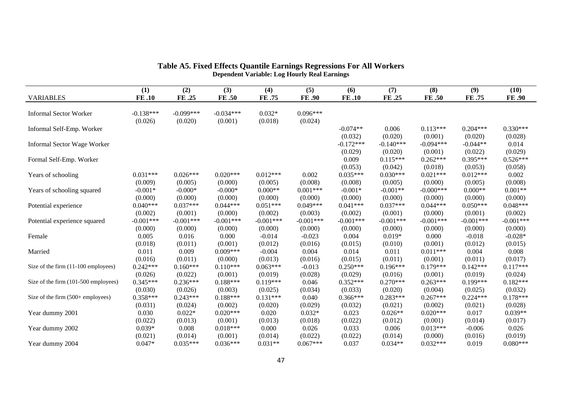| <b>VARIABLES</b>                     | (1)<br><b>FE.10</b> | (2)<br>FE .25 | (3)<br>FE .50 | (4)<br>FE .75 | (5)<br><b>FE.90</b> | (6)<br><b>FE.10</b> | (7)<br>FE .25         | (8)<br>FE .50         | (9)<br>FE.75          | (10)<br><b>FE.90</b> |
|--------------------------------------|---------------------|---------------|---------------|---------------|---------------------|---------------------|-----------------------|-----------------------|-----------------------|----------------------|
| <b>Informal Sector Worker</b>        | $-0.138***$         | $-0.099***$   | $-0.034***$   | $0.032*$      | $0.096***$          |                     |                       |                       |                       |                      |
|                                      | (0.026)             | (0.020)       | (0.001)       | (0.018)       | (0.024)             |                     |                       |                       |                       |                      |
| Informal Self-Emp. Worker            |                     |               |               |               |                     | $-0.074**$          | 0.006                 | $0.113***$            | $0.204***$            | $0.330***$           |
|                                      |                     |               |               |               |                     | (0.032)             | (0.020)               | (0.001)               | (0.020)               | (0.028)              |
|                                      |                     |               |               |               |                     | $-0.172***$         | $-0.140***$           | $-0.094***$           | $-0.044**$            | 0.014                |
| Informal Sector Wage Worker          |                     |               |               |               |                     |                     |                       |                       |                       | (0.029)              |
|                                      |                     |               |               |               |                     | (0.029)             | (0.020)<br>$0.115***$ | (0.001)<br>$0.262***$ | (0.022)<br>$0.395***$ | $0.526***$           |
| Formal Self-Emp. Worker              |                     |               |               |               |                     | 0.009               |                       |                       |                       |                      |
|                                      |                     |               |               |               |                     | (0.053)             | (0.042)               | (0.018)<br>$0.021***$ | (0.053)<br>$0.012***$ | (0.058)              |
| Years of schooling                   | $0.031***$          | $0.026***$    | $0.020***$    | $0.012***$    | 0.002               | $0.035***$          | $0.030***$            |                       |                       | 0.002                |
|                                      | (0.009)             | (0.005)       | (0.000)       | (0.005)       | (0.008)             | (0.008)             | (0.005)               | (0.000)               | (0.005)               | (0.008)              |
| Years of schooling squared           | $-0.001*$           | $-0.000*$     | $-0.000*$     | $0.000**$     | $0.001***$          | $-0.001*$           | $-0.001**$            | $-0.000***$           | $0.000**$             | $0.001**$            |
|                                      | (0.000)             | (0.000)       | (0.000)       | (0.000)       | (0.000)             | (0.000)             | (0.000)               | (0.000)               | (0.000)               | (0.000)              |
| Potential experience                 | $0.040***$          | $0.037***$    | $0.044***$    | $0.051***$    | $0.049***$          | $0.041***$          | $0.037***$            | $0.044***$            | $0.050***$            | $0.048***$           |
|                                      | (0.002)             | (0.001)       | (0.000)       | (0.002)       | (0.003)             | (0.002)             | (0.001)               | (0.000)               | (0.001)               | (0.002)              |
| Potential experience squared         | $-0.001***$         | $-0.001***$   | $-0.001***$   | $-0.001***$   | $-0.001***$         | $-0.001***$         | $-0.001***$           | $-0.001***$           | $-0.001***$           | $-0.001***$          |
|                                      | (0.000)             | (0.000)       | (0.000)       | (0.000)       | (0.000)             | (0.000)             | (0.000)               | (0.000)               | (0.000)               | (0.000)              |
| Female                               | 0.005               | 0.016         | 0.000         | $-0.014$      | $-0.023$            | 0.004               | $0.019*$              | 0.000                 | $-0.018$              | $-0.028*$            |
|                                      | (0.018)             | (0.011)       | (0.001)       | (0.012)       | (0.016)             | (0.015)             | (0.010)               | (0.001)               | (0.012)               | (0.015)              |
| Married                              | 0.011               | 0.009         | $0.009***$    | $-0.004$      | 0.004               | 0.014               | 0.011                 | $0.011***$            | 0.004                 | 0.008                |
|                                      | (0.016)             | (0.011)       | (0.000)       | (0.013)       | (0.016)             | (0.015)             | (0.011)               | (0.001)               | (0.011)               | (0.017)              |
| Size of the firm (11-100 employees)  | $0.242***$          | $0.160***$    | $0.110***$    | $0.063***$    | $-0.013$            | $0.250***$          | $0.196***$            | $0.179***$            | $0.142***$            | $0.117***$           |
|                                      | (0.026)             | (0.022)       | (0.001)       | (0.019)       | (0.028)             | (0.029)             | (0.016)               | (0.001)               | (0.019)               | (0.024)              |
| Size of the firm (101-500 employees) | $0.345***$          | $0.236***$    | $0.188***$    | $0.119***$    | 0.046               | $0.352***$          | $0.270***$            | $0.263***$            | $0.199***$            | $0.182***$           |
|                                      | (0.030)             | (0.026)       | (0.003)       | (0.025)       | (0.034)             | (0.033)             | (0.020)               | (0.004)               | (0.025)               | (0.032)              |
| Size of the firm $(500+$ employees)  | $0.358***$          | $0.243***$    | $0.188***$    | $0.131***$    | 0.040               | $0.366***$          | $0.283***$            | $0.267***$            | $0.224***$            | $0.178***$           |
|                                      | (0.031)             | (0.024)       | (0.002)       | (0.020)       | (0.029)             | (0.032)             | (0.021)               | (0.002)               | (0.021)               | (0.028)              |
| Year dummy 2001                      | 0.030               | $0.022*$      | $0.020***$    | 0.020         | $0.032*$            | 0.023               | $0.026**$             | $0.020***$            | 0.017                 | $0.039**$            |
|                                      | (0.022)             | (0.013)       | (0.001)       | (0.013)       | (0.018)             | (0.022)             | (0.012)               | (0.001)               | (0.014)               | (0.017)              |
| Year dummy 2002                      | $0.039*$            | 0.008         | $0.018***$    | 0.000         | 0.026               | 0.033               | 0.006                 | $0.013***$            | $-0.006$              | 0.026                |
|                                      | (0.021)             | (0.014)       | (0.001)       | (0.014)       | (0.022)             | (0.022)             | (0.014)               | (0.000)               | (0.016)               | (0.019)              |
| Year dummy 2004                      | $0.047*$            | $0.035***$    | $0.036***$    | $0.031**$     | $0.067***$          | 0.037               | $0.034**$             | $0.032***$            | 0.019                 | $0.080***$           |

#### **Table A5. Fixed Effects Quantile Earnings Regressions For All Workers Dependent Variable: Log Hourly Real Earnings**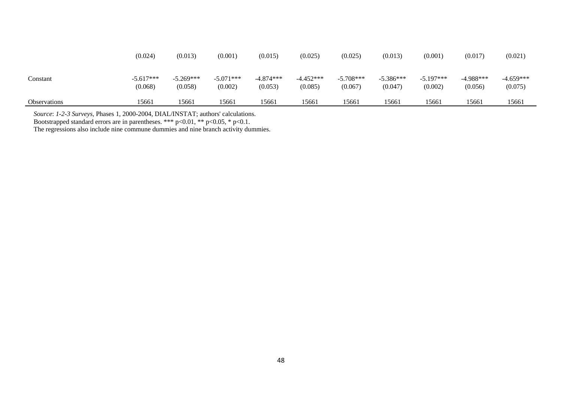|                     | (0.024)                | (0.013)                | (0.001)                | (0.015)                | (0.025)                | (0.025)                | (0.013)                | (0.001)                | (0.017)                | (0.021)              |
|---------------------|------------------------|------------------------|------------------------|------------------------|------------------------|------------------------|------------------------|------------------------|------------------------|----------------------|
|                     |                        |                        |                        |                        |                        |                        |                        |                        |                        |                      |
| Constant            | $-5.617***$<br>(0.068) | $-5.269***$<br>(0.058) | $-5.071***$<br>(0.002) | $-4.874***$<br>(0.053) | $-4.452***$<br>(0.085) | $-5.708***$<br>(0.067) | $-5.386***$<br>(0.047) | $-5.197***$<br>(0.002) | $-4.988***$<br>(0.056) | -4.659***<br>(0.075) |
| <b>Observations</b> | 15661                  | 15661                  | 15661                  | 15661                  | 15661                  | 5661                   | 15661                  | 15661                  | 15661                  | 15661                |

*Source*: *1-2-3 Surveys*, Phases 1, 2000-2004, DIAL/INSTAT; authors' calculations.

Bootstrapped standard errors are in parentheses. \*\*\*  $p<0.01$ , \*\*  $p<0.05$ , \*  $p<0.1$ .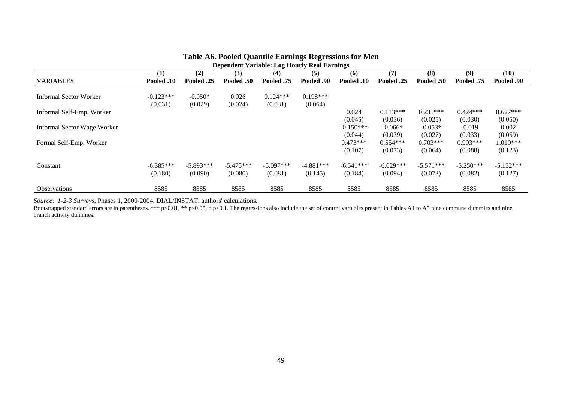| <b>Dependent Variable: Log Hourly Real Earnings</b> |                        |                        |                        |                        |                        |                        |                        |                        |                        |                        |  |  |
|-----------------------------------------------------|------------------------|------------------------|------------------------|------------------------|------------------------|------------------------|------------------------|------------------------|------------------------|------------------------|--|--|
|                                                     | (1)                    | (2)                    | (3)                    | (4)                    | (5)                    | (6)                    | (7)                    | (8)                    | (9)                    | (10)                   |  |  |
| <b>VARIABLES</b>                                    | Pooled .10             | Pooled .25             | Pooled .50             | Pooled .75             | Pooled .90             | Pooled .10             | Pooled .25             | Pooled .50             | Pooled .75             | <b>Pooled .90</b>      |  |  |
| <b>Informal Sector Worker</b>                       | $-0.123***$<br>(0.031) | $-0.050*$<br>(0.029)   | 0.026<br>(0.024)       | $0.124***$<br>(0.031)  | $0.198***$<br>(0.064)  |                        |                        |                        |                        |                        |  |  |
| Informal Self-Emp. Worker                           |                        |                        |                        |                        |                        | 0.024                  | $0.113***$             | $0.235***$             | $0.424***$             | $0.627***$             |  |  |
|                                                     |                        |                        |                        |                        |                        | (0.045)                | (0.036)                | (0.025)                | (0.030)                | (0.050)                |  |  |
| Informal Sector Wage Worker                         |                        |                        |                        |                        |                        | $-0.150***$            | $-0.066*$              | $-0.053*$              | $-0.019$               | 0.002                  |  |  |
|                                                     |                        |                        |                        |                        |                        | (0.044)                | (0.039)                | (0.027)                | (0.033)                | (0.059)                |  |  |
| Formal Self-Emp. Worker                             |                        |                        |                        |                        |                        | $0.473***$             | $0.554***$             | $0.703***$             | $0.903***$             | $1.010***$             |  |  |
|                                                     |                        |                        |                        |                        |                        | (0.107)                | (0.073)                | (0.064)                | (0.088)                | (0.123)                |  |  |
| Constant                                            | $-6.385***$<br>(0.180) | $-5.893***$<br>(0.090) | $-5.475***$<br>(0.080) | $-5.097***$<br>(0.081) | $-4.881***$<br>(0.145) | $-6.541***$<br>(0.184) | $-6.029***$<br>(0.094) | $-5.571***$<br>(0.073) | $-5.250***$<br>(0.082) | $-5.152***$<br>(0.127) |  |  |
| <b>Observations</b>                                 | 8585                   | 8585                   | 8585                   | 8585                   | 8585                   | 8585                   | 8585                   | 8585                   | 8585                   | 8585                   |  |  |

#### **Table A6. Pooled Quantile Earnings Regressions for Men**

*Source*: *1-2-3 Surveys*, Phases 1, 2000-2004, DIAL/INSTAT; authors' calculations.

Bootstrapped standard errors are in parentheses. \*\*\*  $p<0.01$ , \*\*  $p<0.05$ , \*  $p<0.1$ . The regressions also include the set of control variables present in Tables A1 to A5 nine commune dummies and nine branch activity dummies.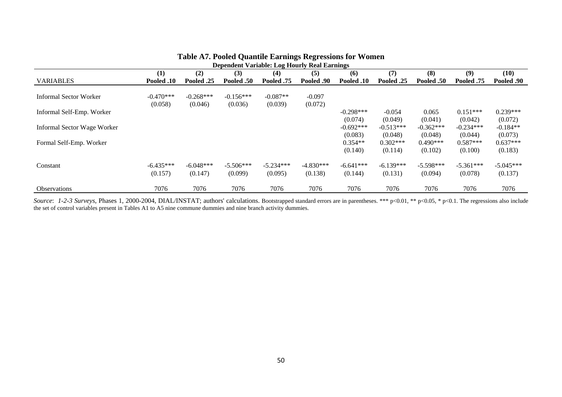| <b>Dependent Variable: Log Hourly Real Earnings</b> |                        |                        |                        |                        |                        |                                   |                                   |                                   |                                   |                                  |  |  |
|-----------------------------------------------------|------------------------|------------------------|------------------------|------------------------|------------------------|-----------------------------------|-----------------------------------|-----------------------------------|-----------------------------------|----------------------------------|--|--|
|                                                     | (1)                    | (2)                    | (3)                    | (4)                    | (5)                    | (6)                               | (7)                               | (8)                               | (9)                               | (10)                             |  |  |
| <b>VARIABLES</b>                                    | <b>Pooled .10</b>      | Pooled .25             | Pooled .50             | Pooled .75             | Pooled .90             | Pooled .10                        | Pooled .25                        | Pooled .50                        | Pooled .75                        | Pooled .90                       |  |  |
| <b>Informal Sector Worker</b>                       | $-0.470***$<br>(0.058) | $-0.268***$<br>(0.046) | $-0.156***$<br>(0.036) | $-0.087**$<br>(0.039)  | $-0.097$<br>(0.072)    |                                   |                                   |                                   |                                   |                                  |  |  |
| Informal Self-Emp. Worker                           |                        |                        |                        |                        |                        | $-0.298***$                       | $-0.054$                          | 0.065                             | $0.151***$                        | $0.239***$                       |  |  |
| Informal Sector Wage Worker                         |                        |                        |                        |                        |                        | (0.074)<br>$-0.692***$<br>(0.083) | (0.049)<br>$-0.513***$<br>(0.048) | (0.041)<br>$-0.362***$<br>(0.048) | (0.042)<br>$-0.234***$<br>(0.044) | (0.072)<br>$-0.184**$<br>(0.073) |  |  |
| Formal Self-Emp. Worker                             |                        |                        |                        |                        |                        | $0.354**$<br>(0.140)              | $0.302***$<br>(0.114)             | $0.490***$<br>(0.102)             | $0.587***$<br>(0.100)             | $0.637***$<br>(0.183)            |  |  |
| Constant                                            | $-6.435***$<br>(0.157) | $-6.048***$<br>(0.147) | $-5.506***$<br>(0.099) | $-5.234***$<br>(0.095) | $-4.830***$<br>(0.138) | $-6.641***$<br>(0.144)            | $-6.139***$<br>(0.131)            | $-5.598***$<br>(0.094)            | $-5.361***$<br>(0.078)            | $-5.045***$<br>(0.137)           |  |  |
| <b>Observations</b>                                 | 7076                   | 7076                   | 7076                   | 7076                   | 7076                   | 7076                              | 7076                              | 7076                              | 7076                              | 7076                             |  |  |

### **Table A7. Pooled Quantile Earnings Regressions for Women**

*Source*: 1-2-3 Surveys, Phases 1, 2000-2004, DIAL/INSTAT; authors' calculations. Bootstrapped standard errors are in parentheses. \*\*\* p<0.01, \*\* p<0.05, \* p<0.1. The regressions also include the set of control variables present in Tables A1 to A5 nine commune dummies and nine branch activity dummies.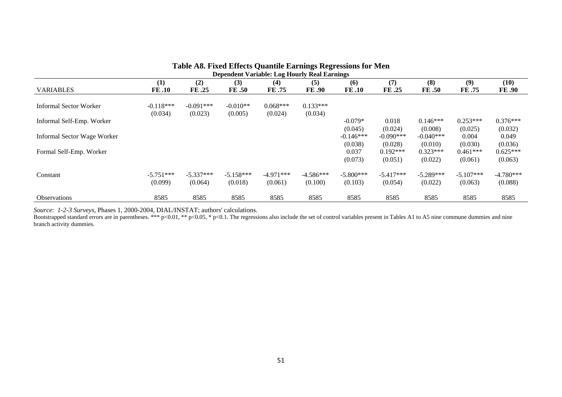|                                    | Table A8. Fixed Effects Quantile Earnings Regressions for Men |             |             |             |              |              |             |             |             |              |  |  |  |
|------------------------------------|---------------------------------------------------------------|-------------|-------------|-------------|--------------|--------------|-------------|-------------|-------------|--------------|--|--|--|
|                                    | <b>Dependent Variable: Log Hourly Real Earnings</b>           |             |             |             |              |              |             |             |             |              |  |  |  |
|                                    | (1)                                                           | (2)         | (3)         | (4)         | (5)          | (6)          | (7)         | (8)         | (9)         | (10)         |  |  |  |
| <b>VARIABLES</b>                   | <b>FE.10</b>                                                  | FE.25       | FE .50      | FE .75      | <b>FE.90</b> | <b>FE.10</b> | FE .25      | FE .50      | FE.75       | <b>FE.90</b> |  |  |  |
| <b>Informal Sector Worker</b>      | $-0.118***$                                                   | $-0.091***$ | $-0.010**$  | $0.068***$  | $0.133***$   |              |             |             |             |              |  |  |  |
|                                    | (0.034)                                                       | (0.023)     | (0.005)     | (0.024)     | (0.034)      |              |             |             |             |              |  |  |  |
| Informal Self-Emp. Worker          |                                                               |             |             |             |              | $-0.079*$    | 0.018       | $0.146***$  | $0.253***$  | $0.376***$   |  |  |  |
|                                    |                                                               |             |             |             |              | (0.045)      | (0.024)     | (0.008)     | (0.025)     | (0.032)      |  |  |  |
| <b>Informal Sector Wage Worker</b> |                                                               |             |             |             |              | $-0.146***$  | $-0.090***$ | $-0.040***$ | 0.004       | 0.049        |  |  |  |
|                                    |                                                               |             |             |             |              | (0.038)      | (0.028)     | (0.010)     | (0.030)     | (0.036)      |  |  |  |
| Formal Self-Emp. Worker            |                                                               |             |             |             |              | 0.037        | $0.192***$  | $0.323***$  | $0.461***$  | $0.625***$   |  |  |  |
|                                    |                                                               |             |             |             |              | (0.073)      | (0.051)     | (0.022)     | (0.061)     | (0.063)      |  |  |  |
| Constant                           | $-5.751***$                                                   | $-5.337***$ | $-5.158***$ | $-4.971***$ | $-4.586***$  | $-5.800***$  | $-5.417***$ | $-5.289***$ | $-5.107***$ | $-4.780***$  |  |  |  |
|                                    | (0.099)                                                       | (0.064)     | (0.018)     | (0.061)     | (0.100)      | (0.103)      | (0.054)     | (0.022)     | (0.063)     | (0.088)      |  |  |  |
| <b>Observations</b>                | 8585                                                          | 8585        | 8585        | 8585        | 8585         | 8585         | 8585        | 8585        | 8585        | 8585         |  |  |  |

*Source*: *1-2-3 Surveys*, Phases 1, 2000-2004, DIAL/INSTAT; authors' calculations.

Bootstrapped standard errors are in parentheses. \*\*\*  $p<0.01$ , \*\*  $p<0.05$ , \*  $p<0.1$ . The regressions also include the set of control variables present in Tables A1 to A5 nine commune dummies and nine branch activity dummies.